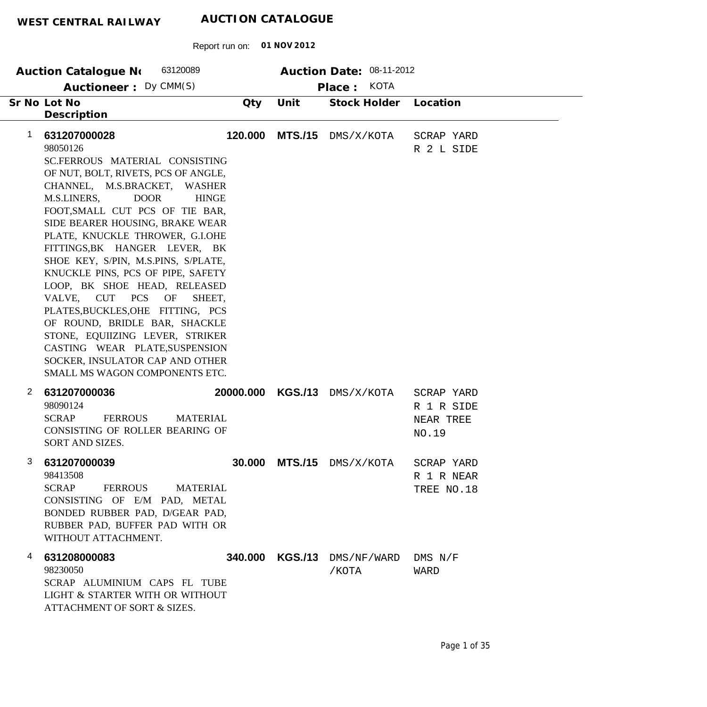| WEST CENTRAL RAILWAY | AUCTION CATALOGUE |
|----------------------|-------------------|
|                      |                   |

| 63120089<br>Auction Catalogue No                                                                                                                                                                                                                                                                                                                                                                                                                                                                                                                                                                                                                                                                       |           |                | Auction Date: 08-11-2012  |                                                |
|--------------------------------------------------------------------------------------------------------------------------------------------------------------------------------------------------------------------------------------------------------------------------------------------------------------------------------------------------------------------------------------------------------------------------------------------------------------------------------------------------------------------------------------------------------------------------------------------------------------------------------------------------------------------------------------------------------|-----------|----------------|---------------------------|------------------------------------------------|
| Auctioneer: Dy CMM(S)                                                                                                                                                                                                                                                                                                                                                                                                                                                                                                                                                                                                                                                                                  |           |                | Place: KOTA               |                                                |
| Sr No Lot No<br>Description                                                                                                                                                                                                                                                                                                                                                                                                                                                                                                                                                                                                                                                                            | Qty       | Unit           | Stock Holder              | Location                                       |
| 631207000028<br>1<br>98050126<br>SC.FERROUS MATERIAL CONSISTING<br>OF NUT, BOLT, RIVETS, PCS OF ANGLE,<br>CHANNEL, M.S.BRACKET, WASHER<br>M.S.LINERS,<br><b>DOOR</b><br><b>HINGE</b><br>FOOT, SMALL CUT PCS OF TIE BAR,<br>SIDE BEARER HOUSING, BRAKE WEAR<br>PLATE, KNUCKLE THROWER, G.I.OHE<br>FITTINGS, BK HANGER LEVER, BK<br>SHOE KEY, S/PIN, M.S.PINS, S/PLATE,<br>KNUCKLE PINS, PCS OF PIPE, SAFETY<br>LOOP, BK SHOE HEAD, RELEASED<br><b>PCS</b><br>OF<br>VALVE, CUT<br>SHEET.<br>PLATES, BUCKLES, OHE FITTING, PCS<br>OF ROUND, BRIDLE BAR, SHACKLE<br>STONE, EQUIIZING LEVER, STRIKER<br>CASTING WEAR PLATE, SUSPENSION<br>SOCKER, INSULATOR CAP AND OTHER<br>SMALL MS WAGON COMPONENTS ETC. | 120.000   | <b>MTS./15</b> | DMS/X/KOTA                | SCRAP YARD<br>R 2 L SIDE                       |
| $\mathbf{2}$<br>631207000036<br>98090124<br><b>FERROUS</b><br><b>SCRAP</b><br><b>MATERIAL</b><br>CONSISTING OF ROLLER BEARING OF<br>SORT AND SIZES.                                                                                                                                                                                                                                                                                                                                                                                                                                                                                                                                                    | 20000.000 |                | KGS./13 DMS/X/KOTA        | SCRAP YARD<br>R 1 R SIDE<br>NEAR TREE<br>NO.19 |
| 3.<br>631207000039<br>98413508<br><b>SCRAP</b><br><b>FERROUS</b><br><b>MATERIAL</b><br>CONSISTING OF E/M PAD, METAL<br>BONDED RUBBER PAD, D/GEAR PAD,<br>RUBBER PAD, BUFFER PAD WITH OR<br>WITHOUT ATTACHMENT.                                                                                                                                                                                                                                                                                                                                                                                                                                                                                         |           |                | 30.000 MTS./15 DMS/X/KOTA | SCRAP YARD<br>R 1 R NEAR<br>TREE NO.18         |
| 631208000083<br>4<br>98230050<br>SCRAP ALUMINIUM CAPS FL TUBE<br>LIGHT & STARTER WITH OR WITHOUT<br>ATTACHMENT OF SORT & SIZES.                                                                                                                                                                                                                                                                                                                                                                                                                                                                                                                                                                        | 340.000   | <b>KGS./13</b> | DMS/NF/WARD<br>/КОТА      | $DMS$ $N/F$<br>WARD                            |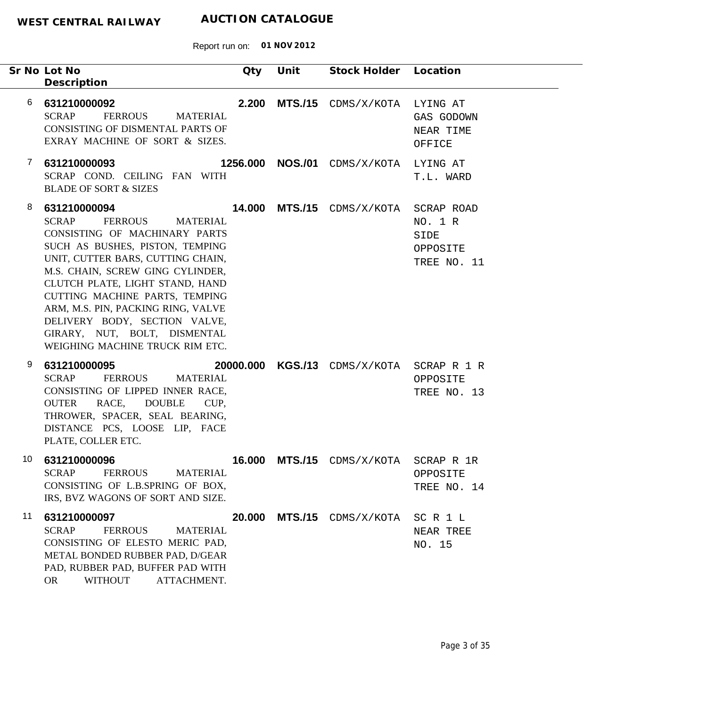|              | Sr No Lot No<br>Description                                                                                                                                                                                                                                                                                                                                                                                            | Qty      | Unit           | Stock Holder                      | Location                                                 |
|--------------|------------------------------------------------------------------------------------------------------------------------------------------------------------------------------------------------------------------------------------------------------------------------------------------------------------------------------------------------------------------------------------------------------------------------|----------|----------------|-----------------------------------|----------------------------------------------------------|
| 6            | 631210000092<br><b>SCRAP</b><br><b>FERROUS</b><br><b>MATERIAL</b><br>CONSISTING OF DISMENTAL PARTS OF<br>EXRAY MACHINE OF SORT & SIZES.                                                                                                                                                                                                                                                                                | 2.200    |                | MTS./15 CDMS/X/KOTA               | LYING AT<br>GAS GODOWN<br>NEAR TIME<br>OFFICE            |
| $\mathbf{7}$ | 631210000093<br>SCRAP COND. CEILING FAN WITH<br><b>BLADE OF SORT &amp; SIZES</b>                                                                                                                                                                                                                                                                                                                                       | 1256.000 | <b>NOS./01</b> | CDMS/X/KOTA                       | LYING AT<br>T.L. WARD                                    |
| 8            | 631210000094<br><b>SCRAP</b><br>FERROUS<br><b>MATERIAL</b><br>CONSISTING OF MACHINARY PARTS<br>SUCH AS BUSHES, PISTON, TEMPING<br>UNIT, CUTTER BARS, CUTTING CHAIN,<br>M.S. CHAIN, SCREW GING CYLINDER,<br>CLUTCH PLATE, LIGHT STAND, HAND<br>CUTTING MACHINE PARTS, TEMPING<br>ARM, M.S. PIN, PACKING RING, VALVE<br>DELIVERY BODY, SECTION VALVE,<br>GIRARY, NUT, BOLT, DISMENTAL<br>WEIGHING MACHINE TRUCK RIM ETC. |          |                | <b>14.000 MTS./15</b> CDMS/X/KOTA | SCRAP ROAD<br>NO. 1 R<br>SIDE<br>OPPOSITE<br>TREE NO. 11 |
| 9            | 631210000095<br><b>SCRAP</b><br><b>FERROUS</b><br><b>MATERIAL</b><br>CONSISTING OF LIPPED INNER RACE,<br>RACE, DOUBLE<br><b>OUTER</b><br>CUP,<br>THROWER, SPACER, SEAL BEARING,<br>DISTANCE PCS, LOOSE LIP, FACE<br>PLATE, COLLER ETC.                                                                                                                                                                                 |          |                | 20000.000 KGS./13 CDMS/X/KOTA     | SCRAP R 1 R<br>OPPOSITE<br>TREE NO. 13                   |
| 10           | 631210000096<br><b>SCRAP</b><br><b>FERROUS</b><br><b>MATERIAL</b><br>CONSISTING OF L.B.SPRING OF BOX,<br>IRS, BVZ WAGONS OF SORT AND SIZE.                                                                                                                                                                                                                                                                             | 16.000   | <b>MTS./15</b> | CDMS/X/KOTA                       | SCRAP R 1R<br>OPPOSITE<br>TREE NO. 14                    |
| 11           | 631210000097<br><b>SCRAP</b><br><b>FERROUS</b><br><b>MATERIAL</b><br>CONSISTING OF ELESTO MERIC PAD,<br>METAL BONDED RUBBER PAD, D/GEAR<br>PAD, RUBBER PAD, BUFFER PAD WITH<br><b>WITHOUT</b><br>ATTACHMENT.<br><b>OR</b>                                                                                                                                                                                              | 20.000   |                | MTS./15 CDMS/X/KOTA               | SCR1L<br>NEAR TREE<br>NO. 15                             |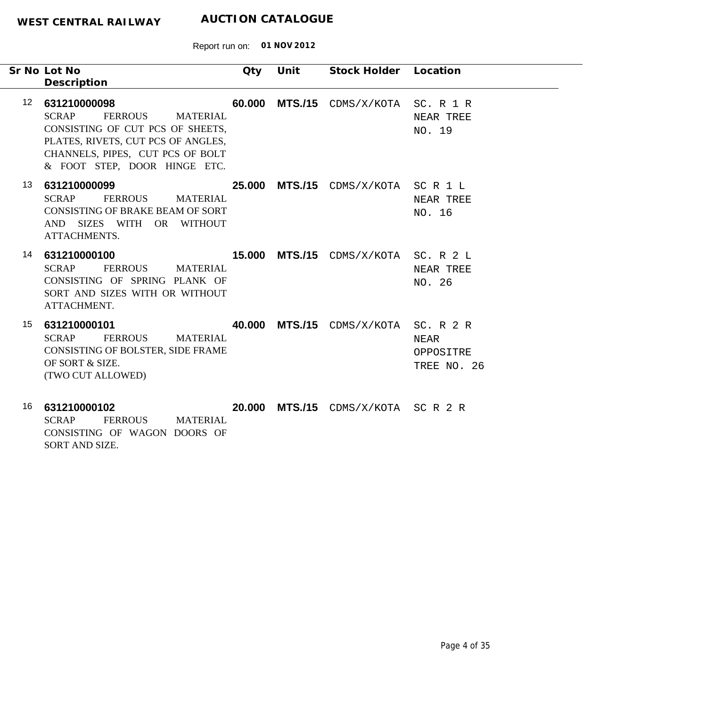-

Report run on: **01 NOV 2012**

|                 | Sr No Lot No<br>Description                                                                                                                                                                                     | Qty | Unit | Stock Holder Location                       |                                               |
|-----------------|-----------------------------------------------------------------------------------------------------------------------------------------------------------------------------------------------------------------|-----|------|---------------------------------------------|-----------------------------------------------|
| 12 <sup>2</sup> | 631210000098<br><b>SCRAP</b><br><b>FERROUS</b><br><b>MATERIAL</b><br>CONSISTING OF CUT PCS OF SHEETS,<br>PLATES, RIVETS, CUT PCS OF ANGLES,<br>CHANNELS, PIPES, CUT PCS OF BOLT<br>& FOOT STEP, DOOR HINGE ETC. |     |      | 60.000 MTS./15 CDMS/X/KOTA SC. R 1 R        | NEAR TREE<br>NO. 19                           |
| 13              | 631210000099<br><b>SCRAP</b><br><b>FERROUS</b><br><b>MATERIAL</b><br>CONSISTING OF BRAKE BEAM OF SORT<br>AND SIZES WITH OR WITHOUT<br>ATTACHMENTS.                                                              |     |      | 25.000 MTS./15 CDMS/X/KOTA SCR1L            | NEAR TREE<br>NO. 16                           |
| 14              | 631210000100<br><b>SCRAP</b><br><b>FERROUS</b><br>MATERIAL<br>CONSISTING OF SPRING PLANK OF<br>SORT AND SIZES WITH OR WITHOUT<br>ATTACHMENT.                                                                    |     |      | <b>15.000 MTS./15</b> CDMS/X/KOTA SC. R 2 L | NEAR TREE<br>NO. 26                           |
| 15              | 631210000101<br><b>SCRAP</b><br><b>FERROUS</b><br><b>MATERIAL</b><br>CONSISTING OF BOLSTER, SIDE FRAME<br>OF SORT & SIZE.<br>(TWO CUT ALLOWED)                                                                  |     |      | <b>40.000 MTS./15</b> CDMS/X/KOTA           | SC. R 2 R<br>NEAR<br>OPPOSITRE<br>TREE NO. 26 |

**631210000102** 16 SCRAP FERROUS MATERIAL CONSISTING OF WAGON DOORS OF SORT AND SIZE.  **20.000 MTS./15** CDMS/X/KOTA SC R 2 R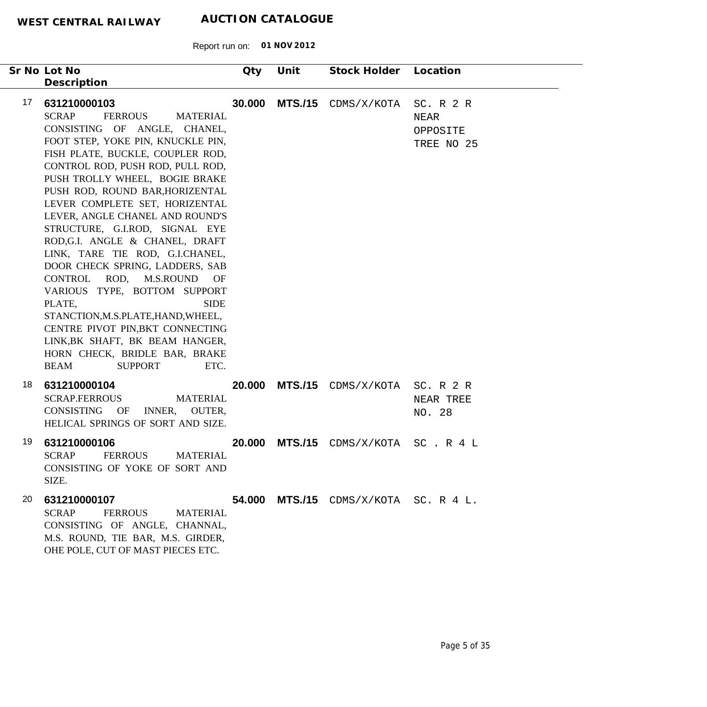| Sr No Lot No<br>Description                                                                                                                                                                                                                                                                                                                                                                                                                                                                                                                                                                                                                                                                                                                                                            | Qty    | Unit           | Stock Holder                          | Location                                    |
|----------------------------------------------------------------------------------------------------------------------------------------------------------------------------------------------------------------------------------------------------------------------------------------------------------------------------------------------------------------------------------------------------------------------------------------------------------------------------------------------------------------------------------------------------------------------------------------------------------------------------------------------------------------------------------------------------------------------------------------------------------------------------------------|--------|----------------|---------------------------------------|---------------------------------------------|
| 17<br>631210000103<br><b>SCRAP</b><br><b>FERROUS</b><br><b>MATERIAL</b><br>CONSISTING OF ANGLE, CHANEL,<br>FOOT STEP, YOKE PIN, KNUCKLE PIN,<br>FISH PLATE, BUCKLE, COUPLER ROD,<br>CONTROL ROD, PUSH ROD, PULL ROD,<br>PUSH TROLLY WHEEL, BOGIE BRAKE<br>PUSH ROD, ROUND BAR, HORIZENTAL<br>LEVER COMPLETE SET, HORIZENTAL<br>LEVER, ANGLE CHANEL AND ROUND'S<br>STRUCTURE, G.I.ROD, SIGNAL EYE<br>ROD, G.I. ANGLE & CHANEL, DRAFT<br>LINK, TARE TIE ROD, G.I.CHANEL,<br>DOOR CHECK SPRING, LADDERS, SAB<br>CONTROL ROD, M.S.ROUND OF<br>VARIOUS TYPE, BOTTOM SUPPORT<br>PLATE,<br><b>SIDE</b><br>STANCTION, M.S.PLATE, HAND, WHEEL,<br>CENTRE PIVOT PIN, BKT CONNECTING<br>LINK, BK SHAFT, BK BEAM HANGER,<br>HORN CHECK, BRIDLE BAR, BRAKE<br>ETC.<br><b>BEAM</b><br><b>SUPPORT</b> | 30.000 | <b>MTS./15</b> | CDMS/X/KOTA                           | SC. R 2 R<br>NEAR<br>OPPOSITE<br>TREE NO 25 |
| 18<br>631210000104<br><b>SCRAP.FERROUS</b><br><b>MATERIAL</b><br>CONSISTING<br>OF<br>INNER, OUTER,<br>HELICAL SPRINGS OF SORT AND SIZE.                                                                                                                                                                                                                                                                                                                                                                                                                                                                                                                                                                                                                                                | 20.000 |                | MTS./15 CDMS/X/KOTA                   | SC. R 2 R<br>NEAR TREE<br>NO. 28            |
| 19<br>631210000106<br><b>SCRAP</b><br><b>FERROUS</b><br><b>MATERIAL</b><br>CONSISTING OF YOKE OF SORT AND<br>SIZE.                                                                                                                                                                                                                                                                                                                                                                                                                                                                                                                                                                                                                                                                     | 20.000 | <b>MTS./15</b> | CDMS/X/KOTA                           | SC.R4L                                      |
| 20<br>631210000107<br><b>SCRAP</b><br><b>FERROUS</b><br><b>MATERIAL</b><br>CONSISTING OF ANGLE, CHANNAL,<br>M.S. ROUND, TIE BAR, M.S. GIRDER,<br>OHE POLE, CUT OF MAST PIECES ETC.                                                                                                                                                                                                                                                                                                                                                                                                                                                                                                                                                                                                     |        |                | 54.000 MTS./15 CDMS/X/KOTA SC. R 4 L. |                                             |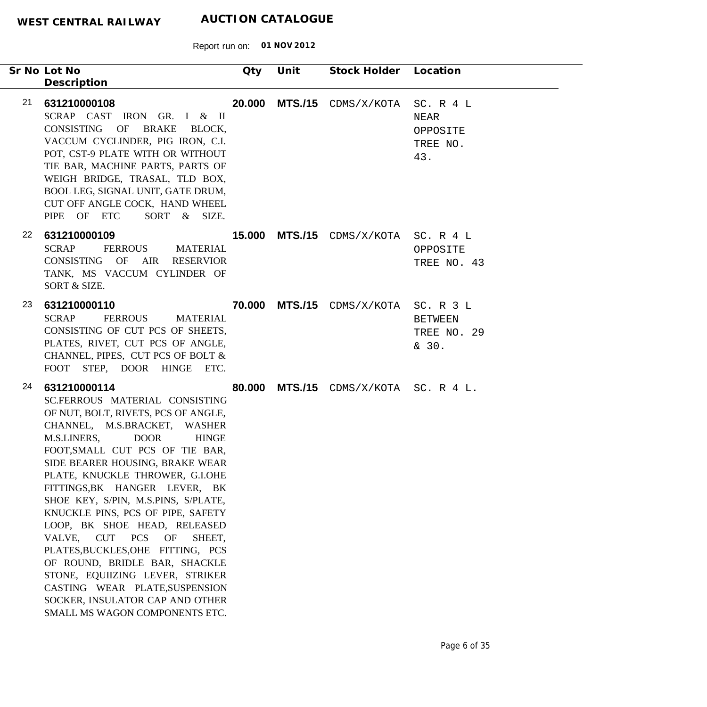|                 | Sr No Lot No<br>Description                                                                                                                                                                                                                                                                                                                                                                                                                                                                                                                                                                                                                                                                     | Qty | Unit | Stock Holder Location                       |                                                         |
|-----------------|-------------------------------------------------------------------------------------------------------------------------------------------------------------------------------------------------------------------------------------------------------------------------------------------------------------------------------------------------------------------------------------------------------------------------------------------------------------------------------------------------------------------------------------------------------------------------------------------------------------------------------------------------------------------------------------------------|-----|------|---------------------------------------------|---------------------------------------------------------|
| 21              | 631210000108<br>SCRAP CAST IRON GR. I & II<br>CONSISTING OF BRAKE BLOCK,<br>VACCUM CYCLINDER, PIG IRON, C.I.<br>POT, CST-9 PLATE WITH OR WITHOUT<br>TIE BAR, MACHINE PARTS, PARTS OF<br>WEIGH BRIDGE, TRASAL, TLD BOX,<br>BOOL LEG, SIGNAL UNIT, GATE DRUM,<br>CUT OFF ANGLE COCK, HAND WHEEL<br>PIPE OF ETC<br>SORT & SIZE.                                                                                                                                                                                                                                                                                                                                                                    |     |      | 20.000 MTS./15 CDMS/X/KOTA                  | SC. R 4 L<br><b>NEAR</b><br>OPPOSITE<br>TREE NO.<br>43. |
| 22 <sub>2</sub> | 631210000109<br><b>SCRAP</b><br><b>FERROUS</b><br><b>MATERIAL</b><br>CONSISTING OF AIR<br><b>RESERVIOR</b><br>TANK, MS VACCUM CYLINDER OF<br>SORT & SIZE.                                                                                                                                                                                                                                                                                                                                                                                                                                                                                                                                       |     |      | <b>15.000 MTS./15</b> CDMS/X/KOTA SC. R 4 L | OPPOSITE<br>TREE NO. 43                                 |
| 23              | 631210000110<br><b>SCRAP</b><br><b>FERROUS</b><br><b>MATERIAL</b><br>CONSISTING OF CUT PCS OF SHEETS,<br>PLATES, RIVET, CUT PCS OF ANGLE,<br>CHANNEL, PIPES, CUT PCS OF BOLT &<br>FOOT STEP, DOOR HINGE ETC.                                                                                                                                                                                                                                                                                                                                                                                                                                                                                    |     |      | 70.000 MTS./15 CDMS/X/KOTA SC. R 3 L        | <b>BETWEEN</b><br>TREE NO. 29<br>& 30.                  |
| 24              | 631210000114<br>SC.FERROUS MATERIAL CONSISTING<br>OF NUT, BOLT, RIVETS, PCS OF ANGLE,<br>CHANNEL, M.S.BRACKET, WASHER<br>M.S.LINERS,<br><b>DOOR</b><br><b>HINGE</b><br>FOOT, SMALL CUT PCS OF TIE BAR,<br>SIDE BEARER HOUSING, BRAKE WEAR<br>PLATE, KNUCKLE THROWER, G.I.OHE<br>FITTINGS, BK HANGER LEVER, BK<br>SHOE KEY, S/PIN, M.S.PINS, S/PLATE,<br>KNUCKLE PINS, PCS OF PIPE, SAFETY<br>LOOP, BK SHOE HEAD, RELEASED<br><b>CUT</b><br><b>PCS</b><br>OF<br>VALVE,<br>SHEET,<br>PLATES, BUCKLES, OHE FITTING, PCS<br>OF ROUND, BRIDLE BAR, SHACKLE<br>STONE, EQUIIZING LEVER, STRIKER<br>CASTING WEAR PLATE, SUSPENSION<br>SOCKER, INSULATOR CAP AND OTHER<br>SMALL MS WAGON COMPONENTS ETC. |     |      | 80.000 MTS./15 CDMS/X/KOTA SC. R 4 L.       |                                                         |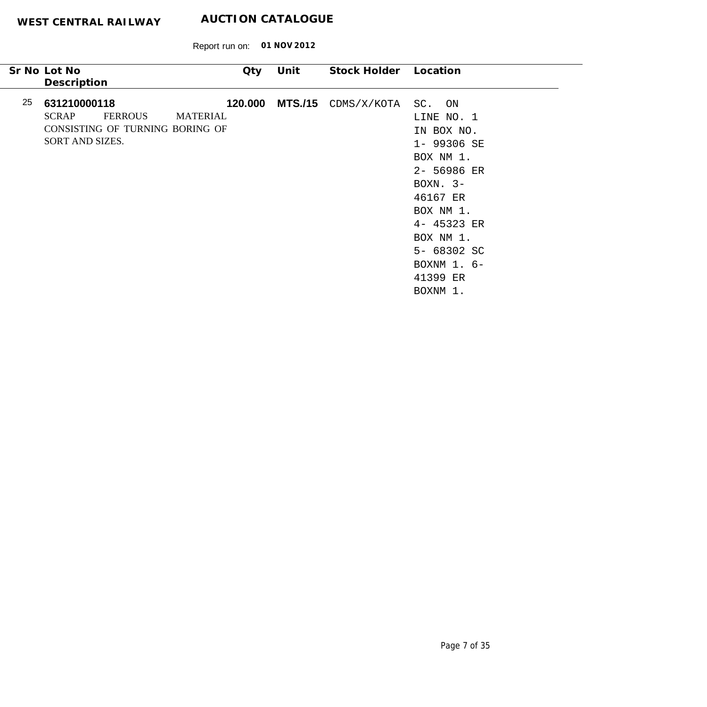|    | Sr No Lot No<br>Description                     |                                                   | Qty                        | Unit | Stock Holder          | Location                                                                                                                                                                                               |  |
|----|-------------------------------------------------|---------------------------------------------------|----------------------------|------|-----------------------|--------------------------------------------------------------------------------------------------------------------------------------------------------------------------------------------------------|--|
| 25 | 631210000118<br><b>SCRAP</b><br>SORT AND SIZES. | <b>FERROUS</b><br>CONSISTING OF TURNING BORING OF | 120.000<br><b>MATERIAL</b> |      | $MTS./15$ CDMS/X/KOTA | SC. ON<br>LINE NO. 1<br>IN BOX NO.<br>1- 99306 SE<br>BOX NM 1.<br>2- 56986 ER<br>BOXN. $3-$<br>46167 ER<br>BOX NM 1.<br>4- 45323 ER<br>BOX NM 1.<br>5- 68302 SC<br>BOXNM 1. 6-<br>41399 ER<br>BOXNM 1. |  |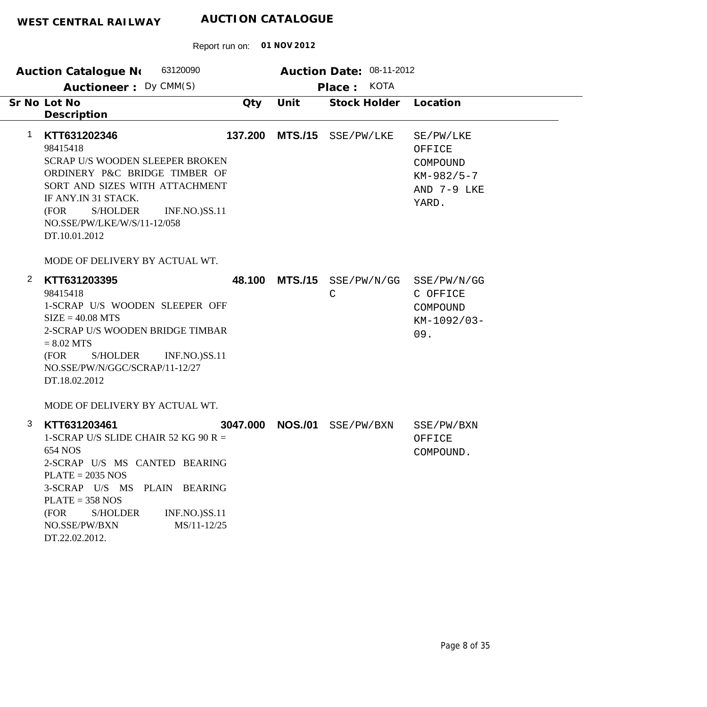|                | 63120090<br><b>Auction Catalogue No</b>                                                                                                                                                                                                                                                                     |          |                | Auction Date: 08-11-2012 |                                                                         |
|----------------|-------------------------------------------------------------------------------------------------------------------------------------------------------------------------------------------------------------------------------------------------------------------------------------------------------------|----------|----------------|--------------------------|-------------------------------------------------------------------------|
|                | Auctioneer: Dy CMM(S)                                                                                                                                                                                                                                                                                       |          |                | Place: KOTA              |                                                                         |
|                | Sr No Lot No<br>Description                                                                                                                                                                                                                                                                                 | Qty      | Unit           | Stock Holder             | Location                                                                |
| 1              | KTT631202346<br>98415418<br><b>SCRAP U/S WOODEN SLEEPER BROKEN</b><br>ORDINERY P&C BRIDGE TIMBER OF<br>SORT AND SIZES WITH ATTACHMENT<br>IF ANY.IN 31 STACK.<br>S/HOLDER<br><b>INF.NO.)SS.11</b><br>(FOR<br>NO.SSE/PW/LKE/W/S/11-12/058<br>DT.10.01.2012                                                    | 137.200  | <b>MTS./15</b> | SSE/PW/LKE               | SE/PW/LKE<br>OFFICE<br>COMPOUND<br>$KM-982/5-7$<br>AND 7-9 LKE<br>YARD. |
|                | MODE OF DELIVERY BY ACTUAL WT.                                                                                                                                                                                                                                                                              |          |                |                          |                                                                         |
| $\overline{2}$ | KTT631203395<br>98415418<br>1-SCRAP U/S WOODEN SLEEPER OFF<br>$SIZE = 40.08 MTS$<br>2-SCRAP U/S WOODEN BRIDGE TIMBAR<br>$= 8.02$ MTS<br>(FOR<br>S/HOLDER<br><b>INF.NO.)SS.11</b><br>NO.SSE/PW/N/GGC/SCRAP/11-12/27<br>DT.18.02.2012                                                                         | 48.100   | <b>MTS./15</b> | $\mathsf{C}$             | SSE/PW/N/GG SSE/PW/N/GG<br>C OFFICE<br>COMPOUND<br>KM-1092/03-<br>09.   |
| 3              | MODE OF DELIVERY BY ACTUAL WT.<br>KTT631203461<br>1-SCRAP U/S SLIDE CHAIR 52 KG 90 R =<br>654 NOS<br>2-SCRAP U/S MS CANTED BEARING<br>$PLATE = 2035 NOS$<br>3-SCRAP U/S MS PLAIN BEARING<br>$PLATE = 358 NOS$<br>(FOR<br><b>S/HOLDER</b><br>INF.NO.)SS.11<br>NO.SSE/PW/BXN<br>MS/11-12/25<br>DT.22.02.2012. | 3047.000 | <b>NOS./01</b> | SSE/PW/BXN               | SSE/PW/BXN<br>OFFICE<br>COMPOUND.                                       |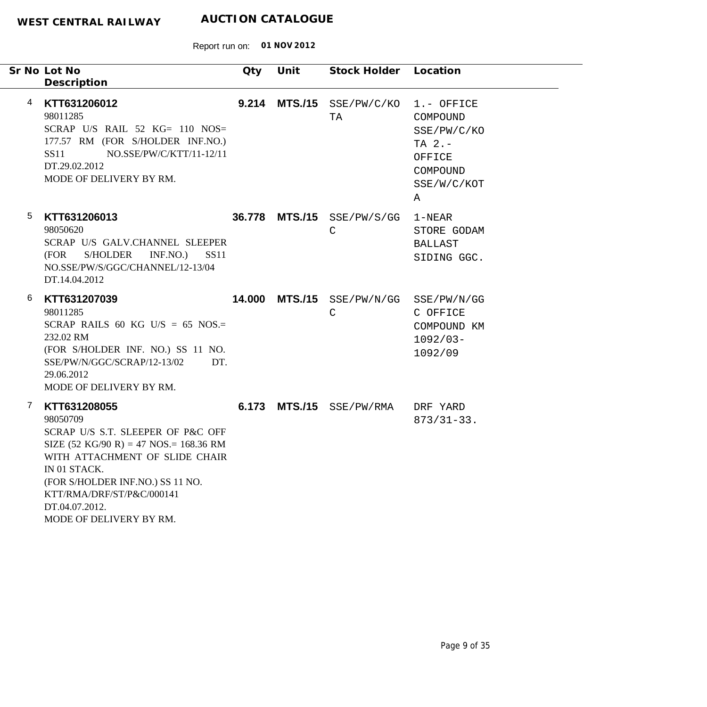|   | Sr No Lot No<br>Description                                                                                                                                                                                                                                                                               | Qty   | Unit | Stock Holder Location                      |                                                                                              |
|---|-----------------------------------------------------------------------------------------------------------------------------------------------------------------------------------------------------------------------------------------------------------------------------------------------------------|-------|------|--------------------------------------------|----------------------------------------------------------------------------------------------|
| 4 | KTT631206012<br>98011285<br>SCRAP U/S RAIL 52 $KG = 110$ NOS=<br>177.57 RM (FOR S/HOLDER INF.NO.)<br>NO.SSE/PW/C/KTT/11-12/11<br>SS11<br>DT.29.02.2012<br>MODE OF DELIVERY BY RM.                                                                                                                         | 9.214 |      | $MTS./15$ SSE/PW/C/KO<br>TA                | 1.- OFFICE<br>COMPOUND<br>SSE/PW/C/KO<br>TA $2. -$<br>OFFICE<br>COMPOUND<br>SSE/W/C/KOT<br>Α |
| 5 | KTT631206013<br>98050620<br>SCRAP U/S GALV.CHANNEL SLEEPER<br>(FOR<br>S/HOLDER<br>INF.NO.)<br><b>SS11</b><br>NO.SSE/PW/S/GGC/CHANNEL/12-13/04<br>DT.14.04.2012                                                                                                                                            |       |      | 36.778 MTS./15 SSE/PW/S/GG<br>$\mathsf{C}$ | 1-NEAR<br>STORE GODAM<br><b>BALLAST</b><br>SIDING GGC.                                       |
| 6 | KTT631207039<br>98011285<br>SCRAP RAILS 60 KG U/S = 65 NOS.=<br>232.02 RM<br>(FOR S/HOLDER INF. NO.) SS 11 NO.<br>SSE/PW/N/GGC/SCRAP/12-13/02<br>DT.<br>29.06.2012<br>MODE OF DELIVERY BY RM.                                                                                                             |       |      | 14.000 MTS./15 SSE/PW/N/GG<br>$\mathsf C$  | SSE/PW/N/GG<br>C OFFICE<br>COMPOUND KM<br>$1092/03 -$<br>1092/09                             |
| 7 | KTT631208055<br>98050709<br>SCRAP U/S S.T. SLEEPER OF P&C OFF<br>SIZE $(52 \text{ KG}/90 \text{ R}) = 47 \text{ NOS} = 168.36 \text{ RM}$<br>WITH ATTACHMENT OF SLIDE CHAIR<br>IN 01 STACK.<br>(FOR S/HOLDER INF.NO.) SS 11 NO.<br>KTT/RMA/DRF/ST/P&C/000141<br>DT.04.07.2012.<br>MODE OF DELIVERY BY RM. |       |      | 6.173 MTS./15 SSE/PW/RMA                   | DRF YARD<br>$873/31-33.$                                                                     |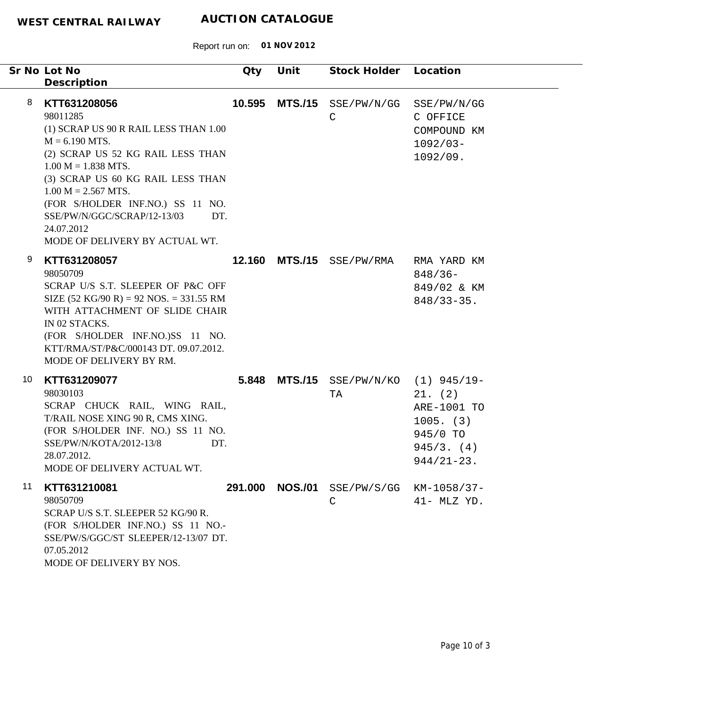|    |   | Sr No Lot No<br>Description                                                                                                                                                                                                                                                                                                                 | Qty     | Unit           | Stock Holder Location                   |                                                                                   |
|----|---|---------------------------------------------------------------------------------------------------------------------------------------------------------------------------------------------------------------------------------------------------------------------------------------------------------------------------------------------|---------|----------------|-----------------------------------------|-----------------------------------------------------------------------------------|
|    | 8 | KTT631208056<br>98011285<br>(1) SCRAP US 90 R RAIL LESS THAN 1.00<br>$M = 6.190$ MTS.<br>(2) SCRAP US 52 KG RAIL LESS THAN<br>$1.00 M = 1.838 MTS.$<br>(3) SCRAP US 60 KG RAIL LESS THAN<br>$1.00 M = 2.567 MTS.$<br>(FOR S/HOLDER INF.NO.) SS 11 NO.<br>SSE/PW/N/GGC/SCRAP/12-13/03<br>DT.<br>24.07.2012<br>MODE OF DELIVERY BY ACTUAL WT. | 10.595  | <b>MTS./15</b> | SSE/PW/N/GG<br>$\mathsf{C}$             | SSE/PW/N/GG<br>C OFFICE<br>COMPOUND KM<br>$1092/03 -$<br>1092/09.                 |
|    | 9 | KTT631208057<br>98050709<br>SCRAP U/S S.T. SLEEPER OF P&C OFF<br>SIZE $(52 \text{ KG}/90 \text{ R}) = 92 \text{ NOS} = 331.55 \text{ RM}$<br>WITH ATTACHMENT OF SLIDE CHAIR<br>IN 02 STACKS.<br>(FOR S/HOLDER INF.NO.)SS 11 NO.<br>KTT/RMA/ST/P&C/000143 DT. 09.07.2012.<br>MODE OF DELIVERY BY RM.                                         | 12.160  |                | MTS./15 SSE/PW/RMA                      | RMA YARD KM<br>$848/36-$<br>849/02 & KM<br>$848/33 - 35$ .                        |
| 10 |   | KTT631209077<br>98030103<br>SCRAP CHUCK RAIL, WING RAIL,<br>T/RAIL NOSE XING 90 R, CMS XING.<br>(FOR S/HOLDER INF. NO.) SS 11 NO.<br>SSE/PW/N/KOTA/2012-13/8<br>DT.<br>28.07.2012.<br>MODE OF DELIVERY ACTUAL WT.                                                                                                                           | 5.848   |                | MTS./15 SSE/PW/N/KO (1) 945/19-<br>TA   | 21. (2)<br>ARE-1001 TO<br>$1005.$ (3)<br>945/0 TO<br>945/3. (4)<br>$944/21 - 23.$ |
| 11 |   | KTT631210081<br>98050709<br>SCRAP U/S S.T. SLEEPER 52 KG/90 R.<br>(FOR S/HOLDER INF.NO.) SS 11 NO.-<br>SSE/PW/S/GGC/ST SLEEPER/12-13/07 DT.<br>07.05.2012<br>MODE OF DELIVERY BY NOS.                                                                                                                                                       | 291.000 | <b>NOS./01</b> | SSE/PW/S/GG KM-1058/37-<br>$\mathsf{C}$ | $41-$ MLZ YD.                                                                     |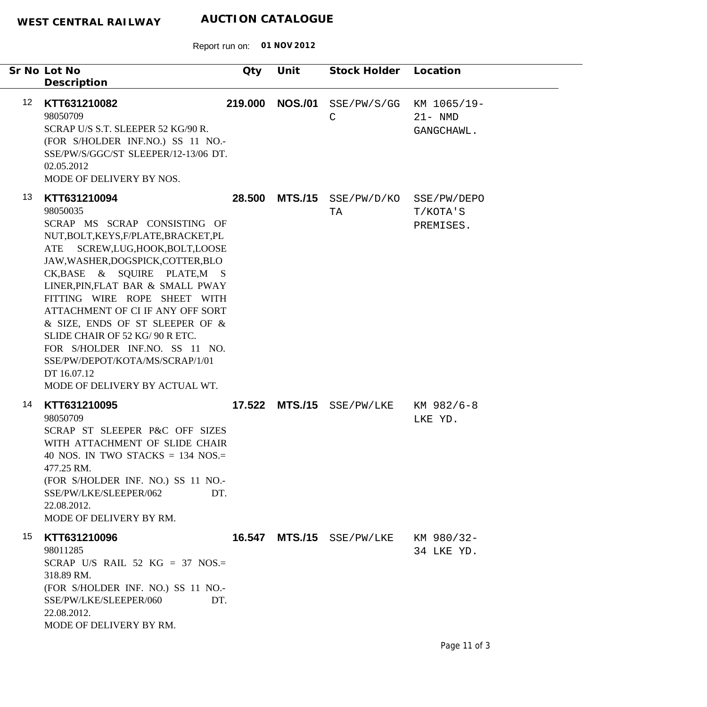|                   | Sr No Lot No<br>Description                                                                                                                                                                                                                                                                                                                                                                                                                                                                                      | Qty     | Unit           | Stock Holder                        | Location                                |
|-------------------|------------------------------------------------------------------------------------------------------------------------------------------------------------------------------------------------------------------------------------------------------------------------------------------------------------------------------------------------------------------------------------------------------------------------------------------------------------------------------------------------------------------|---------|----------------|-------------------------------------|-----------------------------------------|
| $12 \overline{ }$ | KTT631210082<br>98050709<br>SCRAP U/S S.T. SLEEPER 52 KG/90 R.<br>(FOR S/HOLDER INF.NO.) SS 11 NO.-<br>SSE/PW/S/GGC/ST SLEEPER/12-13/06 DT.<br>02.05.2012<br>MODE OF DELIVERY BY NOS.                                                                                                                                                                                                                                                                                                                            | 219.000 |                | NOS./01 SSE/PW/S/GG<br>$\mathsf{C}$ | KM 1065/19-<br>$21 - NMD$<br>GANGCHAWL. |
| 13                | KTT631210094<br>98050035<br>SCRAP MS SCRAP CONSISTING OF<br>NUT, BOLT, KEYS, F/PLATE, BRACKET, PL<br>SCREW,LUG,HOOK,BOLT,LOOSE<br>ATE<br>JAW, WASHER, DOGSPICK, COTTER, BLO<br>CK, BASE & SQUIRE PLATE, M S<br>LINER, PIN, FLAT BAR & SMALL PWAY<br>FITTING WIRE ROPE SHEET WITH<br>ATTACHMENT OF CI IF ANY OFF SORT<br>& SIZE, ENDS OF ST SLEEPER OF &<br>SLIDE CHAIR OF 52 KG/ 90 R ETC.<br>FOR S/HOLDER INF.NO. SS 11 NO.<br>SSE/PW/DEPOT/KOTA/MS/SCRAP/1/01<br>DT 16.07.12<br>MODE OF DELIVERY BY ACTUAL WT. | 28.500  |                | $MTS./15$ $SSE/PW/D/KO$<br>TA       | SSE/PW/DEPO<br>T/KOTA'S<br>PREMISES.    |
| 14                | KTT631210095<br>98050709<br>SCRAP ST SLEEPER P&C OFF SIZES<br>WITH ATTACHMENT OF SLIDE CHAIR<br>40 NOS. IN TWO STACKS $=$ 134 NOS. $=$<br>477.25 RM.<br>(FOR S/HOLDER INF. NO.) SS 11 NO.-<br>SSE/PW/LKE/SLEEPER/062<br>DT.<br>22.08.2012.<br>MODE OF DELIVERY BY RM.                                                                                                                                                                                                                                            |         |                | 17.522 MTS./15 SSE/PW/LKE           | KM 982/6-8<br>LKE YD.                   |
| 15                | KTT631210096<br>98011285<br>SCRAP U/S RAIL 52 KG = 37 NOS.=<br>318.89 RM.<br>(FOR S/HOLDER INF. NO.) SS 11 NO.-<br>SSE/PW/LKE/SLEEPER/060<br>DT.<br>22.08.2012.<br>MODE OF DELIVERY BY RM.                                                                                                                                                                                                                                                                                                                       | 16.547  | <b>MTS./15</b> | SSE/PW/LKE                          | KM 980/32-<br>34 LKE YD.                |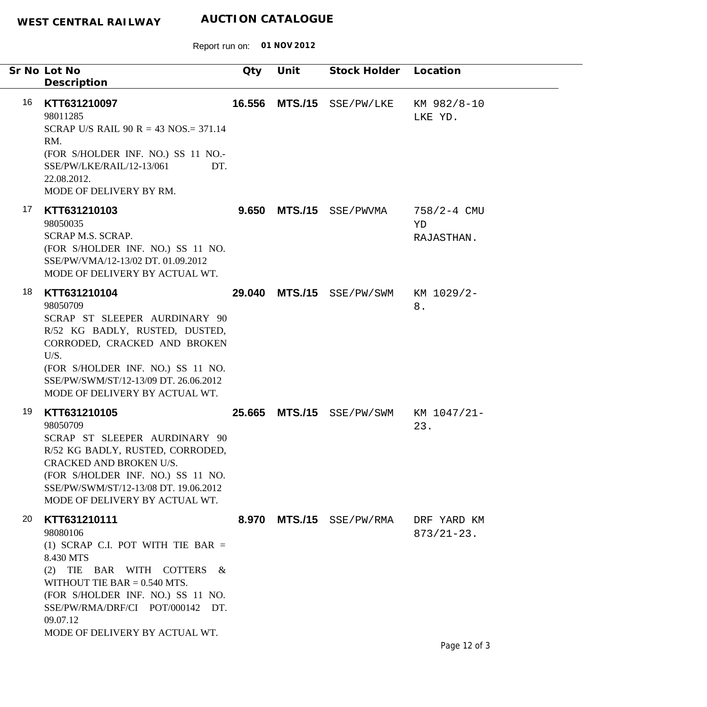|    | Sr No Lot No<br>Description                                                                                                                                                                                                                                         | Qty    | Unit           | Stock Holder Location    |                                     |
|----|---------------------------------------------------------------------------------------------------------------------------------------------------------------------------------------------------------------------------------------------------------------------|--------|----------------|--------------------------|-------------------------------------|
| 16 | KTT631210097<br>98011285<br>SCRAP U/S RAIL 90 R = 43 NOS. = 371.14<br>RM.<br>(FOR S/HOLDER INF. NO.) SS 11 NO.-<br>SSE/PW/LKE/RAIL/12-13/061<br>DT.<br>22.08.2012.<br>MODE OF DELIVERY BY RM.                                                                       | 16.556 |                | MTS./15 SSE/PW/LKE       | KM 982/8-10<br>LKE YD.              |
| 17 | KTT631210103<br>98050035<br><b>SCRAP M.S. SCRAP.</b><br>(FOR S/HOLDER INF. NO.) SS 11 NO.<br>SSE/PW/VMA/12-13/02 DT. 01.09.2012<br>MODE OF DELIVERY BY ACTUAL WT.                                                                                                   | 9.650  |                | MTS./15 SSE/PWVMA        | $758/2 - 4$ CMU<br>YD<br>RAJASTHAN. |
| 18 | KTT631210104<br>98050709<br>SCRAP ST SLEEPER AURDINARY 90<br>R/52 KG BADLY, RUSTED, DUSTED,<br>CORRODED, CRACKED AND BROKEN<br>U/S.<br>(FOR S/HOLDER INF. NO.) SS 11 NO.<br>SSE/PW/SWM/ST/12-13/09 DT. 26.06.2012<br>MODE OF DELIVERY BY ACTUAL WT.                 | 29.040 |                | MTS./15 SSE/PW/SWM       | KM 1029/2-<br>$8$ .                 |
| 19 | KTT631210105<br>98050709<br>SCRAP ST SLEEPER AURDINARY 90<br>R/52 KG BADLY, RUSTED, CORRODED,<br>CRACKED AND BROKEN U/S.<br>(FOR S/HOLDER INF. NO.) SS 11 NO.<br>SSE/PW/SWM/ST/12-13/08 DT. 19.06.2012<br>MODE OF DELIVERY BY ACTUAL WT.                            |        | 25.665 MTS./15 | SSE/PW/SWM KM 1047/21-   | 23.                                 |
| 20 | KTT631210111<br>98080106<br>(1) SCRAP C.I. POT WITH TIE BAR $=$<br>8.430 MTS<br>(2) TIE BAR WITH COTTERS &<br>WITHOUT TIE BAR $= 0.540$ MTS.<br>(FOR S/HOLDER INF. NO.) SS 11 NO.<br>SSE/PW/RMA/DRF/CI POT/000142 DT.<br>09.07.12<br>MODE OF DELIVERY BY ACTUAL WT. |        |                | 8.970 MTS./15 SSE/PW/RMA | DRF YARD KM<br>$873/21 - 23$ .      |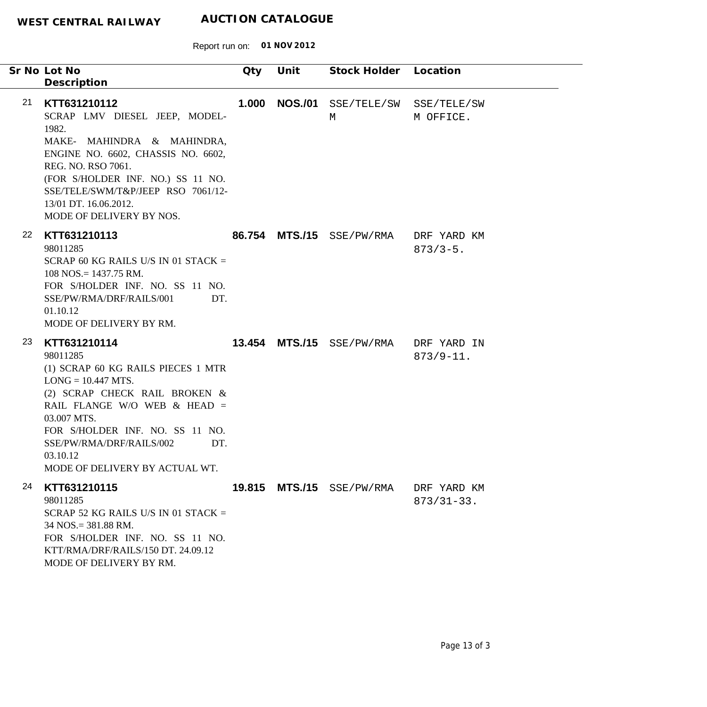|    | Sr No Lot No<br>Description                                                                                                                                                                                                                                                                   | Qty   | Unit           | Stock Holder Location     |                                |  |
|----|-----------------------------------------------------------------------------------------------------------------------------------------------------------------------------------------------------------------------------------------------------------------------------------------------|-------|----------------|---------------------------|--------------------------------|--|
| 21 | KTT631210112<br>SCRAP LMV DIESEL JEEP, MODEL-<br>1982.<br>MAKE- MAHINDRA & MAHINDRA,<br>ENGINE NO. 6602, CHASSIS NO. 6602,<br>REG. NO. RSO 7061.<br>(FOR S/HOLDER INF. NO.) SS 11 NO.<br>SSE/TELE/SWM/T&P/JEEP RSO 7061/12-<br>13/01 DT. 16.06.2012.<br>MODE OF DELIVERY BY NOS.              | 1.000 | <b>NOS./01</b> | SSE/TELE/SW<br>M          | SSE/TELE/SW<br>M OFFICE.       |  |
| 22 | KTT631210113<br>98011285<br>SCRAP 60 KG RAILS U/S IN 01 STACK $=$<br>$108$ NOS. = 1437.75 RM.<br>FOR S/HOLDER INF. NO. SS 11 NO.<br>SSE/PW/RMA/DRF/RAILS/001<br>DT.<br>01.10.12<br>MODE OF DELIVERY BY RM.                                                                                    |       | 86.754 MTS./15 | SSE/PW/RMA                | DRF YARD KM<br>$873/3 - 5$ .   |  |
| 23 | KTT631210114<br>98011285<br>(1) SCRAP 60 KG RAILS PIECES 1 MTR<br>$LONG = 10.447 MTS$ .<br>(2) SCRAP CHECK RAIL BROKEN &<br>RAIL FLANGE W/O WEB $&$ HEAD =<br>03.007 MTS.<br>FOR S/HOLDER INF. NO. SS 11 NO.<br>SSE/PW/RMA/DRF/RAILS/002<br>DT.<br>03.10.12<br>MODE OF DELIVERY BY ACTUAL WT. |       | 13.454 MTS./15 | SSE/PW/RMA                | DRF YARD IN<br>$873/9 - 11.$   |  |
| 24 | KTT631210115<br>98011285<br>SCRAP 52 KG RAILS U/S IN 01 STACK $=$<br>$34$ NOS. = 381.88 RM.<br>FOR S/HOLDER INF. NO. SS 11 NO.<br>KTT/RMA/DRF/RAILS/150 DT. 24.09.12<br>MODE OF DELIVERY BY RM.                                                                                               |       |                | 19.815 MTS./15 SSE/PW/RMA | DRF YARD KM<br>$873/31 - 33$ . |  |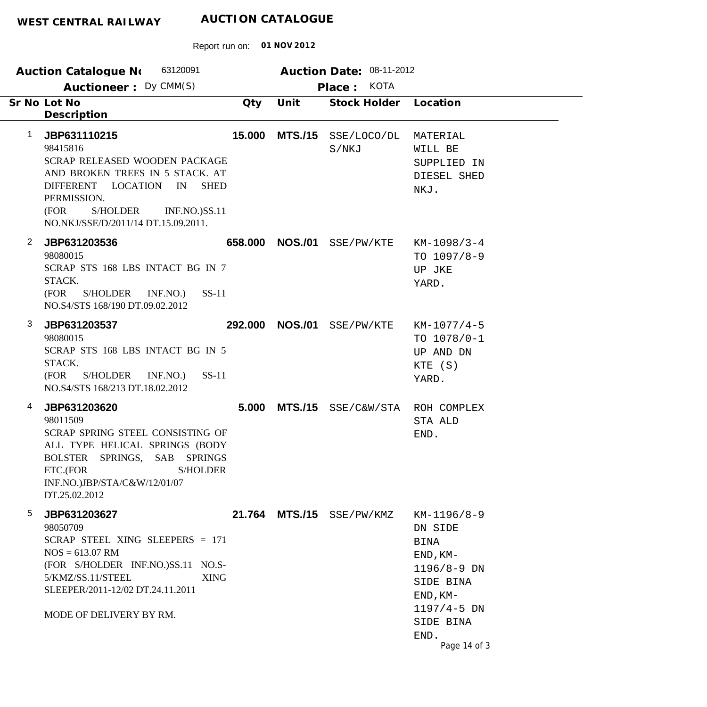|                | 63120091<br><b>Auction Catalogue No</b>                                                                                                                                                                                                   |     |                 | Auction Date: 08-11-2012              |                                                                                                                                                      |
|----------------|-------------------------------------------------------------------------------------------------------------------------------------------------------------------------------------------------------------------------------------------|-----|-----------------|---------------------------------------|------------------------------------------------------------------------------------------------------------------------------------------------------|
|                | Auctioneer: Dy CMM(S)                                                                                                                                                                                                                     |     |                 | Place: KOTA                           |                                                                                                                                                      |
|                | Sr No Lot No<br>Description                                                                                                                                                                                                               | Qty | Unit            | Stock Holder                          | Location                                                                                                                                             |
| $\mathbf{1}$   | JBP631110215<br>98415816<br>SCRAP RELEASED WOODEN PACKAGE<br>AND BROKEN TREES IN 5 STACK. AT<br>DIFFERENT LOCATION<br><b>SHED</b><br>IN<br>PERMISSION.<br><b>INF.NO.)SS.11</b><br>(FOR<br>S/HOLDER<br>NO.NKJ/SSE/D/2011/14 DT.15.09.2011. |     |                 | 15.000 MTS./15 SSE/LOCO/DL<br>S/NKJ   | MATERIAL<br>WILL BE<br>SUPPLIED IN<br>DIESEL SHED<br>NKJ.                                                                                            |
| $\overline{2}$ | JBP631203536<br>98080015<br>SCRAP STS 168 LBS INTACT BG IN 7<br>STACK.<br>S/HOLDER INF.NO.)<br>$SS-11$<br>(FOR<br>NO.S4/STS 168/190 DT.09.02.2012                                                                                         |     |                 | 658.000 NOS./01 SSE/PW/KTE            | $KM-1098/3-4$<br>TO $1097/8-9$<br>UP JKE<br>YARD.                                                                                                    |
| 3              | JBP631203537<br>98080015<br>SCRAP STS 168 LBS INTACT BG IN 5<br>STACK.<br>(FOR<br>S/HOLDER INF.NO.)<br>$SS-11$<br>NO.S4/STS 168/213 DT.18.02.2012                                                                                         |     | 292.000 NOS./01 | SSE/PW/KTE                            | $KM-1077/4-5$<br>TO $1078/0-1$<br>UP AND DN<br>KTE (S)<br>YARD.                                                                                      |
| 4              | JBP631203620<br>98011509<br><b>SCRAP SPRING STEEL CONSISTING OF</b><br>ALL TYPE HELICAL SPRINGS (BODY<br>BOLSTER SPRINGS, SAB SPRINGS<br>ETC.(FOR<br><b>S/HOLDER</b><br>INF.NO.)JBP/STA/C&W/12/01/07<br>DT.25.02.2012                     |     |                 | 5.000 MTS./15 SSE/C&W/STA ROH COMPLEX | STA ALD<br>END.                                                                                                                                      |
| 5              | JBP631203627<br>98050709<br>SCRAP STEEL XING SLEEPERS $= 171$<br>$NOS = 613.07$ RM<br>(FOR S/HOLDER INF.NO.)SS.11 NO.S-<br>5/KMZ/SS.11/STEEL<br><b>XING</b><br>SLEEPER/2011-12/02 DT.24.11.2011<br>MODE OF DELIVERY BY RM.                |     |                 | 21.764 MTS./15 SSE/PW/KMZ             | $KM-1196/8-9$<br>DN SIDE<br>BINA<br>$END, KM-$<br>$1196/8 - 9$ DN<br>SIDE BINA<br>$END, KM-$<br>$1197/4 - 5$ DN<br>SIDE BINA<br>END.<br>Page 14 of 3 |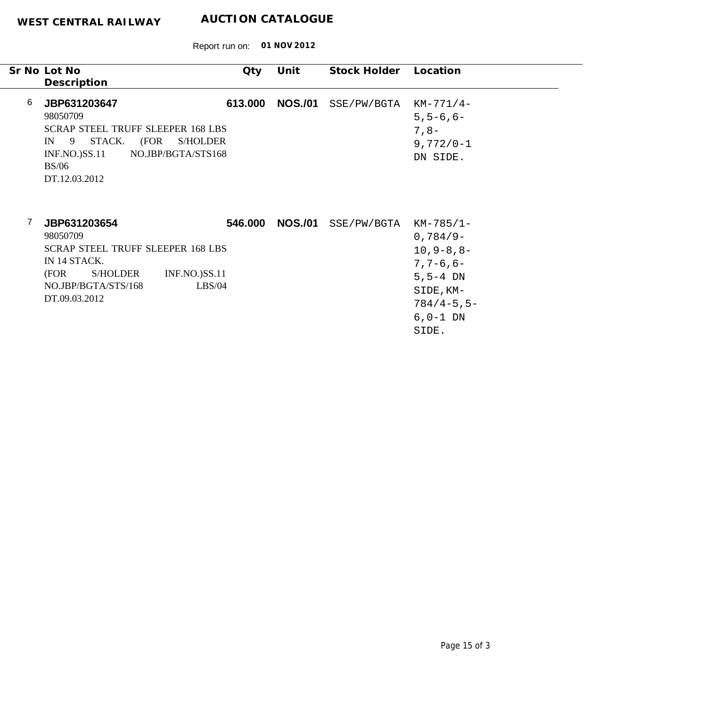|   | Sr No Lot No<br>Description                                                                                                                                                               | Qty     | Unit            | Stock Holder          | Location                                                                                                                    |
|---|-------------------------------------------------------------------------------------------------------------------------------------------------------------------------------------------|---------|-----------------|-----------------------|-----------------------------------------------------------------------------------------------------------------------------|
| 6 | JBP631203647<br>98050709<br><b>SCRAP STEEL TRUFF SLEEPER 168 LBS</b><br>STACK. (FOR<br>$IN \t9$<br><b>S/HOLDER</b><br>NO.JBP/BGTA/STS168<br>$INF.NO.$ ) $SS.11$<br>BS/06<br>DT.12.03.2012 | 613.000 | <b>NOS./01</b>  | SSE/PW/BGTA           | $KM-771/4-$<br>$5, 5 - 6, 6 -$<br>$7,8-$<br>$9,772/0 - 1$<br>DN SIDE.                                                       |
|   | JBP631203654<br>98050709<br><b>SCRAP STEEL TRUFF SLEEPER 168 LBS</b><br>IN 14 STACK.<br>(FOR<br>S/HOLDER<br><b>INF.NO.)SS.11</b><br>NO.JBP/BGTA/STS/168<br>LBS/04<br>DT.09.03.2012        |         | 546.000 NOS./01 | SSE/PW/BGTA KM-785/1- | $0,784/9-$<br>$10, 9 - 8, 8 -$<br>$7, 7 - 6, 6 -$<br>$5, 5 - 4$ DN<br>SIDE, KM-<br>$784/4 - 5, 5 -$<br>$6, 0-1$ DN<br>SIDE. |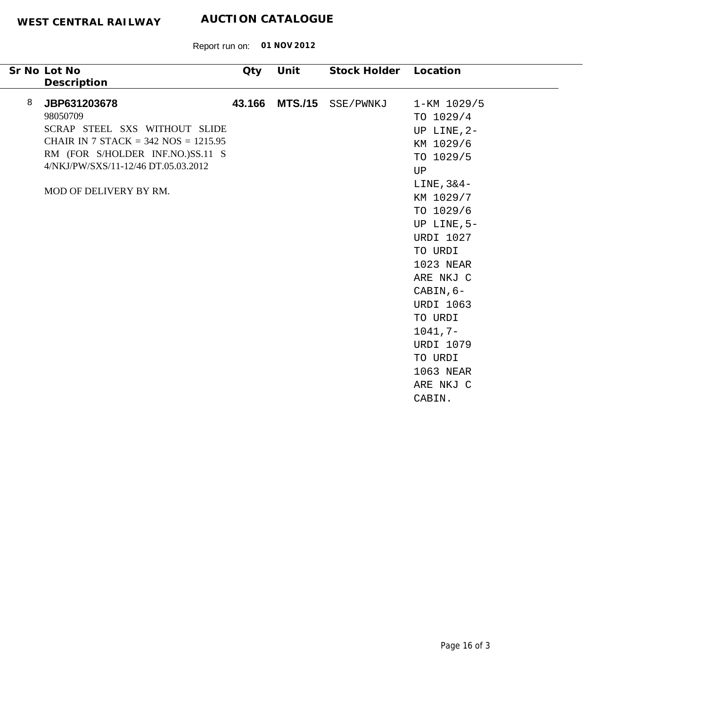| Sr No Lot No<br>Description                                                                                                                                                                                            | Qty    | Unit | Stock Holder Location |                                                                                                                                                                                                                                                                                                                          |
|------------------------------------------------------------------------------------------------------------------------------------------------------------------------------------------------------------------------|--------|------|-----------------------|--------------------------------------------------------------------------------------------------------------------------------------------------------------------------------------------------------------------------------------------------------------------------------------------------------------------------|
| 8<br>JBP631203678<br>98050709<br>SCRAP STEEL SXS WITHOUT SLIDE<br>CHAIR IN 7 STACK = $342$ NOS = $1215.95$<br>RM (FOR S/HOLDER INF.NO.)SS.11 S<br>4/NKJ/PW/SXS/11-12/46 DT.05.03.2012<br><b>MOD OF DELIVERY BY RM.</b> | 43.166 |      | MTS./15 SSE/PWNKJ     | 1-KM 1029/5<br>TO 1029/4<br>UP LINE, 2-<br>KM 1029/6<br>TO 1029/5<br>UP<br>$LINE, 3&4-$<br>KM 1029/7<br>TO 1029/6<br>UP LINE, 5-<br><b>URDI 1027</b><br>TO URDI<br>1023 NEAR<br>ARE NKJ C<br>CABIN, $6-$<br><b>URDI 1063</b><br>TO URDI<br>$1041, 7-$<br><b>URDI 1079</b><br>TO URDI<br>1063 NEAR<br>ARE NKJ C<br>CABIN. |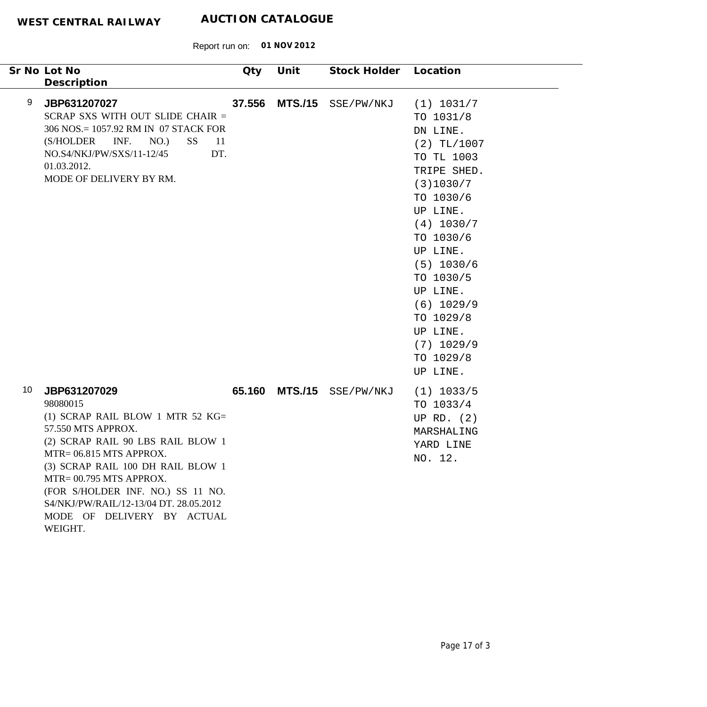|    | Sr No Lot No<br>Description                                                                                                                                                                                                                                                                                                                   | <b>Qty</b>           | Unit           | Stock Holder Location |                                                                                                                                                                                                                                                                                           |
|----|-----------------------------------------------------------------------------------------------------------------------------------------------------------------------------------------------------------------------------------------------------------------------------------------------------------------------------------------------|----------------------|----------------|-----------------------|-------------------------------------------------------------------------------------------------------------------------------------------------------------------------------------------------------------------------------------------------------------------------------------------|
| 9  | JBP631207027<br>SCRAP SXS WITH OUT SLIDE CHAIR =<br>306 NOS.= 1057.92 RM IN 07 STACK FOR<br>INF.<br>(S/HOLDER<br>NO.)<br><b>SS</b><br>NO.S4/NKJ/PW/SXS/11-12/45<br>01.03.2012.<br>MODE OF DELIVERY BY RM.                                                                                                                                     | 37.556<br>-11<br>DT. | <b>MTS./15</b> | SSE/PW/NKJ            | (1) 1031/7<br>TO 1031/8<br>DN LINE.<br>$(2)$ TL/1007<br>TO TL 1003<br>TRIPE SHED.<br>(3)1030/7<br>TO 1030/6<br>UP LINE.<br>(4) 1030/7<br>TO 1030/6<br>UP LINE.<br>$(5)$ 1030/6<br>TO 1030/5<br>UP LINE.<br>$(6)$ 1029/9<br>TO 1029/8<br>UP LINE.<br>$(7)$ 1029/9<br>TO 1029/8<br>UP LINE. |
| 10 | JBP631207029<br>98080015<br>(1) SCRAP RAIL BLOW 1 MTR 52 $KG =$<br>57.550 MTS APPROX.<br>(2) SCRAP RAIL 90 LBS RAIL BLOW 1<br>MTR= 06.815 MTS APPROX.<br>(3) SCRAP RAIL 100 DH RAIL BLOW 1<br>MTR= 00.795 MTS APPROX.<br>(FOR S/HOLDER INF. NO.) SS 11 NO.<br>S4/NKJ/PW/RAIL/12-13/04 DT. 28.05.2012<br>MODE OF DELIVERY BY ACTUAL<br>WEIGHT. | 65.160               |                | MTS./15 SSE/PW/NKJ    | $(1)$ 1033/5<br>TO 1033/4<br>UP RD. $(2)$<br>MARSHALING<br>YARD LINE<br>NO. 12.                                                                                                                                                                                                           |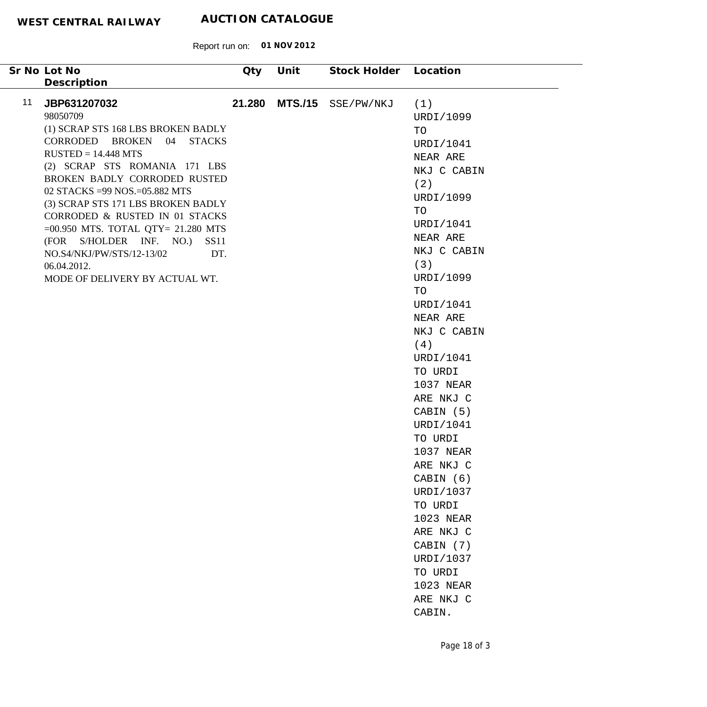| Sr No Lot No<br>Description                                                                                                                                                                                                                                                                                                                                                                                                                                             | <b>Qty</b> | Unit           | Stock Holder Location |                                                                                                                                                                                                                                                                                                                                                                                                                                                                    |
|-------------------------------------------------------------------------------------------------------------------------------------------------------------------------------------------------------------------------------------------------------------------------------------------------------------------------------------------------------------------------------------------------------------------------------------------------------------------------|------------|----------------|-----------------------|--------------------------------------------------------------------------------------------------------------------------------------------------------------------------------------------------------------------------------------------------------------------------------------------------------------------------------------------------------------------------------------------------------------------------------------------------------------------|
| 11<br>JBP631207032<br>98050709<br>(1) SCRAP STS 168 LBS BROKEN BADLY<br>CORRODED BROKEN 04 STACKS<br>$RUSTED = 14.448 MTS$<br>(2) SCRAP STS ROMANIA 171 LBS<br>BROKEN BADLY CORRODED RUSTED<br>02 STACKS = 99 NOS. = 05.882 MTS<br>(3) SCRAP STS 171 LBS BROKEN BADLY<br>CORRODED & RUSTED IN 01 STACKS<br>$=00.950$ MTS. TOTAL QTY= 21.280 MTS<br>(FOR S/HOLDER INF. NO.)<br>SS11<br>NO.S4/NKJ/PW/STS/12-13/02<br>DT.<br>06.04.2012.<br>MODE OF DELIVERY BY ACTUAL WT. | 21.280     | <b>MTS./15</b> | SSE/PW/NKJ            | (1)<br>URDI/1099<br>TO<br>URDI/1041<br>NEAR ARE<br>NKJ C CABIN<br>(2)<br>URDI/1099<br>TO<br>URDI/1041<br>NEAR ARE<br>NKJ C CABIN<br>(3)<br>URDI/1099<br>TO<br>URDI/1041<br>NEAR ARE<br>NKJ C CABIN<br>(4)<br>URDI/1041<br>TO URDI<br>1037 NEAR<br>ARE NKJ C<br>CABIN (5)<br>URDI/1041<br>TO URDI<br>1037 NEAR<br>ARE NKJ C<br>CABIN (6)<br>URDI/1037<br>TO URDI<br>1023 NEAR<br>ARE NKJ C<br>CABIN (7)<br>URDI/1037<br>TO URDI<br>1023 NEAR<br>ARE NKJ C<br>CABIN. |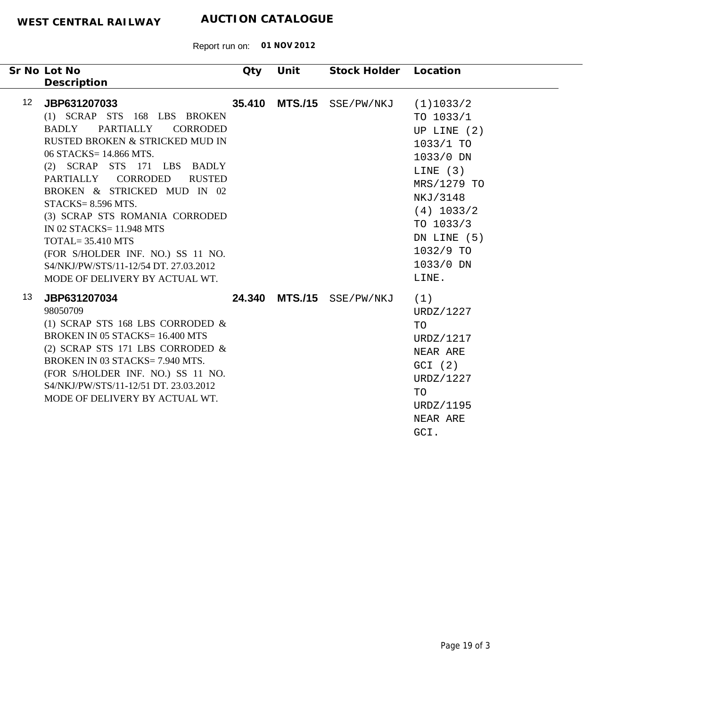| Sr No Lot No<br>Description                                                                                                                                                                                                                                                                                                                                                                                                                                                                               | Qty    | Unit | Stock Holder Location     |                                                                                                                                                                                             |
|-----------------------------------------------------------------------------------------------------------------------------------------------------------------------------------------------------------------------------------------------------------------------------------------------------------------------------------------------------------------------------------------------------------------------------------------------------------------------------------------------------------|--------|------|---------------------------|---------------------------------------------------------------------------------------------------------------------------------------------------------------------------------------------|
| 12 <sup>2</sup><br>JBP631207033<br>(1) SCRAP STS 168 LBS BROKEN<br>PARTIALLY<br><b>CORRODED</b><br>BADLY<br>RUSTED BROKEN & STRICKED MUD IN<br>06 STACKS= 14.866 MTS.<br>(2) SCRAP STS 171 LBS BADLY<br>PARTIALLY CORRODED<br><b>RUSTED</b><br>BROKEN & STRICKED MUD IN 02<br>$STACKS = 8.596 MTS.$<br>(3) SCRAP STS ROMANIA CORRODED<br>IN 02 STACKS= 11.948 MTS<br>$TOTAL = 35.410 MTS$<br>(FOR S/HOLDER INF. NO.) SS 11 NO.<br>S4/NKJ/PW/STS/11-12/54 DT. 27.03.2012<br>MODE OF DELIVERY BY ACTUAL WT. | 35.410 |      | MTS./15 SSE/PW/NKJ        | (1)1033/2<br>TO $1033/1$<br>UP LINE $(2)$<br>1033/1 TO<br>1033/0 DN<br>LINE $(3)$<br>MRS/1279 TO<br>NKJ/3148<br>$(4)$ 1033/2<br>TO 1033/3<br>DN LINE (5)<br>1032/9 TO<br>1033/0 DN<br>LINE. |
| 13<br>JBP631207034<br>98050709<br>(1) SCRAP STS 168 LBS CORRODED $&$<br><b>BROKEN IN 05 STACKS= 16.400 MTS</b><br>(2) SCRAP STS 171 LBS CORRODED $\&$<br>BROKEN IN 03 STACKS= 7.940 MTS.<br>(FOR S/HOLDER INF. NO.) SS 11 NO.<br>S4/NKJ/PW/STS/11-12/51 DT. 23.03.2012<br>MODE OF DELIVERY BY ACTUAL WT.                                                                                                                                                                                                  |        |      | 24.340 MTS./15 SSE/PW/NKJ | (1)<br>URDZ/1227<br>TO<br>URDZ/1217<br>NEAR ARE<br>GCI (2)<br>URDZ/1227<br>TO<br>URDZ/1195<br>NEAR ARE<br>GCI.                                                                              |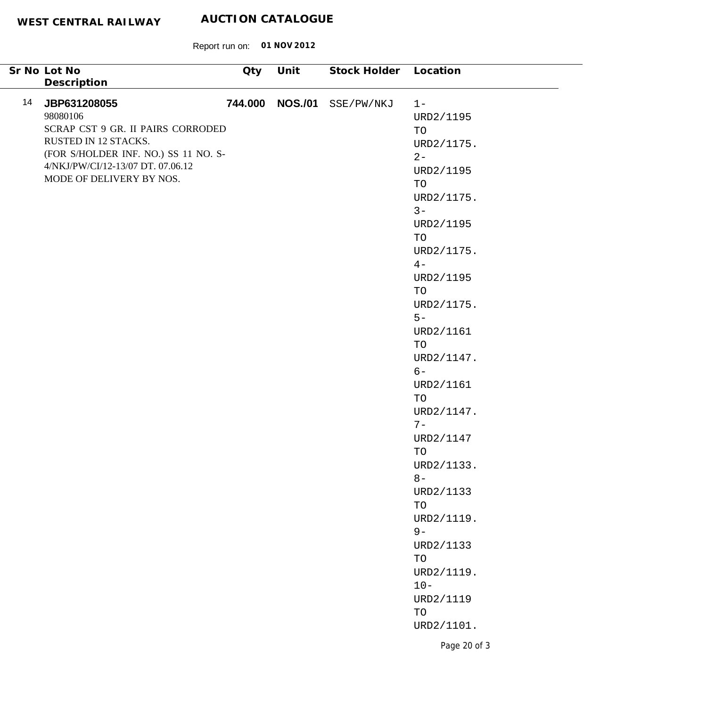| Description<br>744.000 NOS./01<br>14<br>JBP631208055<br>SSE/PW/NKJ<br>$1 -$<br>98080106<br>URD2/1195<br>SCRAP CST 9 GR. II PAIRS CORRODED<br>TO<br>RUSTED IN 12 STACKS.<br>URD2/1175.<br>(FOR S/HOLDER INF. NO.) SS 11 NO. S-<br>$2 -$<br>4/NKJ/PW/CI/12-13/07 DT. 07.06.12<br>URD2/1195<br>MODE OF DELIVERY BY NOS.<br>TO<br>URD2/1175.<br>$3 -$<br>URD2/1195<br>TO<br>URD2/1175.<br>$4-$<br>URD2/1195<br>TO<br>URD2/1175.<br>$5-$<br>URD2/1161<br>TO<br>URD2/1147.<br>$6-$<br>URD2/1161<br>TO<br>URD2/1147.<br>$7-$<br>URD2/1147<br>TO<br>URD2/1133.<br>$8-$<br>URD2/1133<br>TO<br>URD2/1119.<br>$9-$<br>URD2/1133<br>$\operatorname{TO}$<br>URD2/1119.<br>$10 -$<br>URD2/1119<br>TO<br>URD2/1101.<br>Page 20 of 3 | Sr No Lot No | <b>Qty</b> | Unit | Stock Holder Location |  |
|----------------------------------------------------------------------------------------------------------------------------------------------------------------------------------------------------------------------------------------------------------------------------------------------------------------------------------------------------------------------------------------------------------------------------------------------------------------------------------------------------------------------------------------------------------------------------------------------------------------------------------------------------------------------------------------------------------------------|--------------|------------|------|-----------------------|--|
|                                                                                                                                                                                                                                                                                                                                                                                                                                                                                                                                                                                                                                                                                                                      |              |            |      |                       |  |
|                                                                                                                                                                                                                                                                                                                                                                                                                                                                                                                                                                                                                                                                                                                      |              |            |      |                       |  |
|                                                                                                                                                                                                                                                                                                                                                                                                                                                                                                                                                                                                                                                                                                                      |              |            |      |                       |  |
|                                                                                                                                                                                                                                                                                                                                                                                                                                                                                                                                                                                                                                                                                                                      |              |            |      |                       |  |
|                                                                                                                                                                                                                                                                                                                                                                                                                                                                                                                                                                                                                                                                                                                      |              |            |      |                       |  |
|                                                                                                                                                                                                                                                                                                                                                                                                                                                                                                                                                                                                                                                                                                                      |              |            |      |                       |  |
|                                                                                                                                                                                                                                                                                                                                                                                                                                                                                                                                                                                                                                                                                                                      |              |            |      |                       |  |
|                                                                                                                                                                                                                                                                                                                                                                                                                                                                                                                                                                                                                                                                                                                      |              |            |      |                       |  |
|                                                                                                                                                                                                                                                                                                                                                                                                                                                                                                                                                                                                                                                                                                                      |              |            |      |                       |  |
|                                                                                                                                                                                                                                                                                                                                                                                                                                                                                                                                                                                                                                                                                                                      |              |            |      |                       |  |
|                                                                                                                                                                                                                                                                                                                                                                                                                                                                                                                                                                                                                                                                                                                      |              |            |      |                       |  |
|                                                                                                                                                                                                                                                                                                                                                                                                                                                                                                                                                                                                                                                                                                                      |              |            |      |                       |  |
|                                                                                                                                                                                                                                                                                                                                                                                                                                                                                                                                                                                                                                                                                                                      |              |            |      |                       |  |
|                                                                                                                                                                                                                                                                                                                                                                                                                                                                                                                                                                                                                                                                                                                      |              |            |      |                       |  |
|                                                                                                                                                                                                                                                                                                                                                                                                                                                                                                                                                                                                                                                                                                                      |              |            |      |                       |  |
|                                                                                                                                                                                                                                                                                                                                                                                                                                                                                                                                                                                                                                                                                                                      |              |            |      |                       |  |
|                                                                                                                                                                                                                                                                                                                                                                                                                                                                                                                                                                                                                                                                                                                      |              |            |      |                       |  |
|                                                                                                                                                                                                                                                                                                                                                                                                                                                                                                                                                                                                                                                                                                                      |              |            |      |                       |  |
|                                                                                                                                                                                                                                                                                                                                                                                                                                                                                                                                                                                                                                                                                                                      |              |            |      |                       |  |
|                                                                                                                                                                                                                                                                                                                                                                                                                                                                                                                                                                                                                                                                                                                      |              |            |      |                       |  |
|                                                                                                                                                                                                                                                                                                                                                                                                                                                                                                                                                                                                                                                                                                                      |              |            |      |                       |  |
|                                                                                                                                                                                                                                                                                                                                                                                                                                                                                                                                                                                                                                                                                                                      |              |            |      |                       |  |
|                                                                                                                                                                                                                                                                                                                                                                                                                                                                                                                                                                                                                                                                                                                      |              |            |      |                       |  |
|                                                                                                                                                                                                                                                                                                                                                                                                                                                                                                                                                                                                                                                                                                                      |              |            |      |                       |  |
|                                                                                                                                                                                                                                                                                                                                                                                                                                                                                                                                                                                                                                                                                                                      |              |            |      |                       |  |
|                                                                                                                                                                                                                                                                                                                                                                                                                                                                                                                                                                                                                                                                                                                      |              |            |      |                       |  |
|                                                                                                                                                                                                                                                                                                                                                                                                                                                                                                                                                                                                                                                                                                                      |              |            |      |                       |  |
|                                                                                                                                                                                                                                                                                                                                                                                                                                                                                                                                                                                                                                                                                                                      |              |            |      |                       |  |
|                                                                                                                                                                                                                                                                                                                                                                                                                                                                                                                                                                                                                                                                                                                      |              |            |      |                       |  |
|                                                                                                                                                                                                                                                                                                                                                                                                                                                                                                                                                                                                                                                                                                                      |              |            |      |                       |  |
|                                                                                                                                                                                                                                                                                                                                                                                                                                                                                                                                                                                                                                                                                                                      |              |            |      |                       |  |
|                                                                                                                                                                                                                                                                                                                                                                                                                                                                                                                                                                                                                                                                                                                      |              |            |      |                       |  |
|                                                                                                                                                                                                                                                                                                                                                                                                                                                                                                                                                                                                                                                                                                                      |              |            |      |                       |  |
|                                                                                                                                                                                                                                                                                                                                                                                                                                                                                                                                                                                                                                                                                                                      |              |            |      |                       |  |
|                                                                                                                                                                                                                                                                                                                                                                                                                                                                                                                                                                                                                                                                                                                      |              |            |      |                       |  |
|                                                                                                                                                                                                                                                                                                                                                                                                                                                                                                                                                                                                                                                                                                                      |              |            |      |                       |  |
|                                                                                                                                                                                                                                                                                                                                                                                                                                                                                                                                                                                                                                                                                                                      |              |            |      |                       |  |
|                                                                                                                                                                                                                                                                                                                                                                                                                                                                                                                                                                                                                                                                                                                      |              |            |      |                       |  |
|                                                                                                                                                                                                                                                                                                                                                                                                                                                                                                                                                                                                                                                                                                                      |              |            |      |                       |  |
|                                                                                                                                                                                                                                                                                                                                                                                                                                                                                                                                                                                                                                                                                                                      |              |            |      |                       |  |
|                                                                                                                                                                                                                                                                                                                                                                                                                                                                                                                                                                                                                                                                                                                      |              |            |      |                       |  |
|                                                                                                                                                                                                                                                                                                                                                                                                                                                                                                                                                                                                                                                                                                                      |              |            |      |                       |  |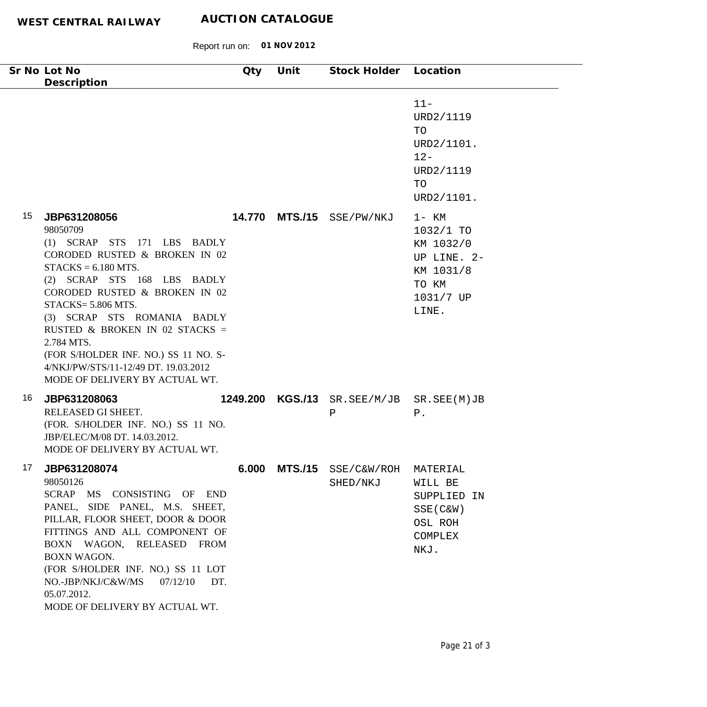| Sr No Lot No<br>Description                                                                                                                                                                                                                                                                                                                                                                                            | Qty          | Unit           | Stock Holder Location        |                                                                                               |
|------------------------------------------------------------------------------------------------------------------------------------------------------------------------------------------------------------------------------------------------------------------------------------------------------------------------------------------------------------------------------------------------------------------------|--------------|----------------|------------------------------|-----------------------------------------------------------------------------------------------|
|                                                                                                                                                                                                                                                                                                                                                                                                                        |              |                |                              | $11 -$<br>URD2/1119<br>TO<br>URD2/1101.<br>$12 -$<br>URD2/1119<br>TO<br>URD2/1101.            |
| 15<br>JBP631208056<br>98050709<br>$(1)$ SCRAP STS<br>171 LBS BADLY<br>CORODED RUSTED & BROKEN IN 02<br>$STACKS = 6.180 MTS.$<br>(2) SCRAP STS 168 LBS BADLY<br>CORODED RUSTED & BROKEN IN 02<br>$STACKS = 5.806 MTS.$<br>(3) SCRAP STS ROMANIA BADLY<br>RUSTED & BROKEN IN 02 STACKS =<br>2.784 MTS.<br>(FOR S/HOLDER INF. NO.) SS 11 NO. S-<br>4/NKJ/PW/STS/11-12/49 DT. 19.03.2012<br>MODE OF DELIVERY BY ACTUAL WT. |              | 14.770 MTS./15 | SSE/PW/NKJ                   | $1 - KM$<br>1032/1 TO<br>KM 1032/0<br>UP LINE. 2-<br>KM 1031/8<br>TO KM<br>1031/7 UP<br>LINE. |
| 16<br>JBP631208063<br>RELEASED GI SHEET.<br>(FOR. S/HOLDER INF. NO.) SS 11 NO.<br>JBP/ELEC/M/08 DT. 14.03.2012.<br>MODE OF DELIVERY BY ACTUAL WT.                                                                                                                                                                                                                                                                      | 1249.200     | <b>KGS./13</b> | SR.SEE/M/JB SR.SEE(M)JB<br>Ρ | ${\tt P}$ .                                                                                   |
| 17<br>JBP631208074<br>98050126<br>SCRAP MS CONSISTING OF END<br>PANEL, SIDE PANEL, M.S. SHEET,<br>PILLAR, FLOOR SHEET, DOOR & DOOR<br>FITTINGS AND ALL COMPONENT OF<br>BOXN WAGON, RELEASED FROM<br>BOXN WAGON.<br>(FOR S/HOLDER INF. NO.) SS 11 LOT<br>NO.-JBP/NKJ/C&W/MS<br>07/12/10<br>05.07.2012.<br>MODE OF DELIVERY BY ACTUAL WT.                                                                                | 6.000<br>DT. | <b>MTS./15</b> | SSE/C&W/ROH<br>SHED/NKJ      | MATERIAL<br>WILL BE<br>SUPPLIED IN<br>$SSE(C\&W)$<br>OSL ROH<br>COMPLEX<br>NKJ.               |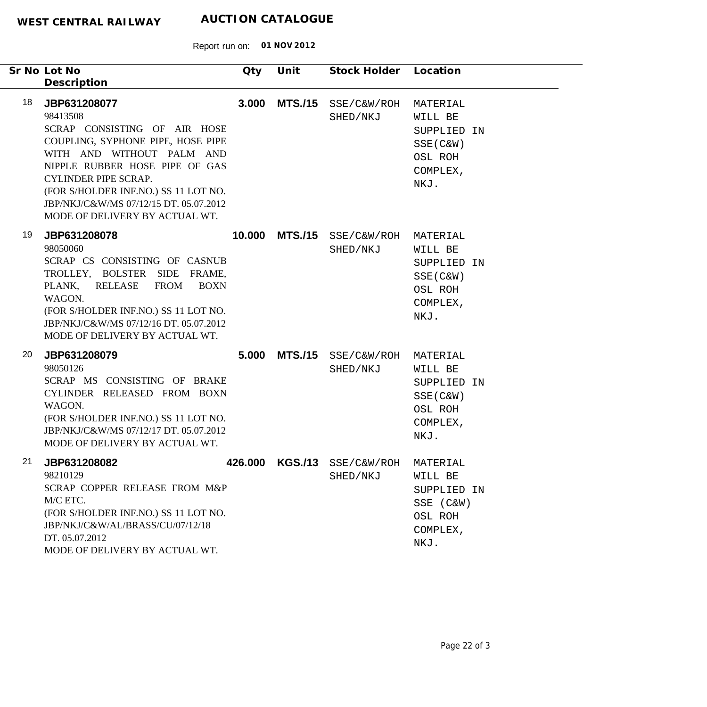| Sr No Lot No<br>Description                                  |                                                                                                                                                                                                                                                                                     | Qty     | Unit           | Stock Holder Location           |                                                                                  |
|--------------------------------------------------------------|-------------------------------------------------------------------------------------------------------------------------------------------------------------------------------------------------------------------------------------------------------------------------------------|---------|----------------|---------------------------------|----------------------------------------------------------------------------------|
| 18<br>JBP631208077<br>98413508                               | SCRAP CONSISTING OF AIR HOSE<br>COUPLING, SYPHONE PIPE, HOSE PIPE<br>WITH AND WITHOUT PALM AND<br>NIPPLE RUBBER HOSE PIPE OF GAS<br><b>CYLINDER PIPE SCRAP.</b><br>(FOR S/HOLDER INF.NO.) SS 11 LOT NO.<br>JBP/NKJ/C&W/MS 07/12/15 DT. 05.07.2012<br>MODE OF DELIVERY BY ACTUAL WT. | 3.000   | <b>MTS./15</b> | SSE/C&W/ROH<br>SHED/NKJ         | MATERIAL<br>WILL BE<br>SUPPLIED IN<br>$SSE(C\&W)$<br>OSL ROH<br>COMPLEX,<br>NKJ. |
| 19<br>JBP631208078<br>98050060<br>PLANK,<br>WAGON.           | SCRAP CS CONSISTING OF CASNUB<br>TROLLEY, BOLSTER SIDE FRAME,<br>RELEASE<br><b>FROM</b><br><b>BOXN</b><br>(FOR S/HOLDER INF.NO.) SS 11 LOT NO.<br>JBP/NKJ/C&W/MS 07/12/16 DT. 05.07.2012<br>MODE OF DELIVERY BY ACTUAL WT.                                                          | 10.000  | <b>MTS./15</b> | SSE/C&W/ROH<br>SHED/NKJ         | MATERIAL<br>WILL BE<br>SUPPLIED IN<br>$SSE(C\&W)$<br>OSL ROH<br>COMPLEX,<br>NKJ. |
| 20<br>JBP631208079<br>98050126<br>WAGON.                     | SCRAP MS CONSISTING OF BRAKE<br>CYLINDER RELEASED FROM BOXN<br>(FOR S/HOLDER INF.NO.) SS 11 LOT NO.<br>JBP/NKJ/C&W/MS 07/12/17 DT. 05.07.2012<br>MODE OF DELIVERY BY ACTUAL WT.                                                                                                     | 5.000   | <b>MTS./15</b> | SSE/C&W/ROH<br>SHED/NKJ         | MATERIAL<br>WILL BE<br>SUPPLIED IN<br>$SSE(C\&W)$<br>OSL ROH<br>COMPLEX,<br>NKJ. |
| 21<br>JBP631208082<br>98210129<br>M/C ETC.<br>DT. 05.07.2012 | SCRAP COPPER RELEASE FROM M&P<br>(FOR S/HOLDER INF.NO.) SS 11 LOT NO.<br>JBP/NKJ/C&W/AL/BRASS/CU/07/12/18<br>MODE OF DELIVERY BY ACTUAL WT.                                                                                                                                         | 426.000 |                | KGS./13 SSE/C&W/ROH<br>SHED/NKJ | MATERIAL<br>WILL BE<br>SUPPLIED IN<br>SSE (C&W)<br>OSL ROH<br>COMPLEX,<br>NKJ.   |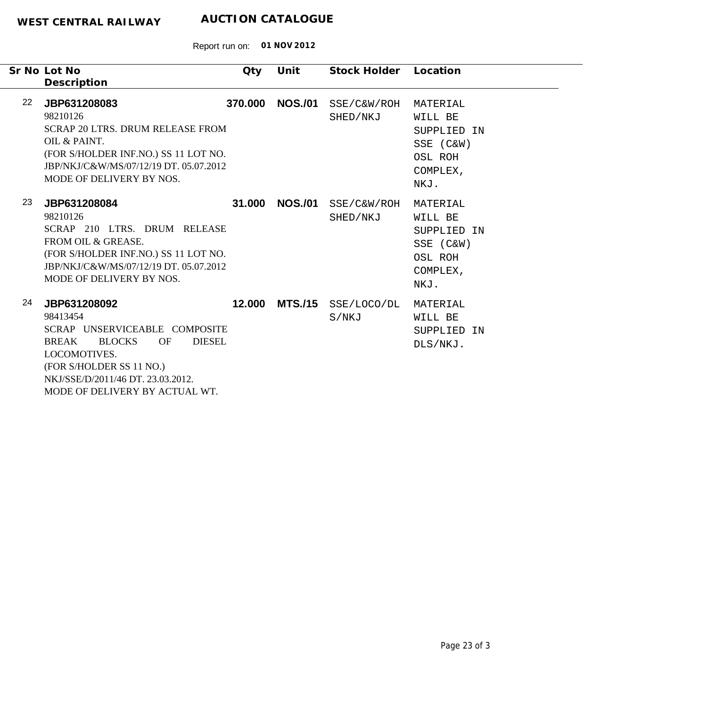| Sr No Lot No<br>Description                                                                                                                                                                                         | Qty                                  | Unit           | Stock Holder            | Location                                                                       |
|---------------------------------------------------------------------------------------------------------------------------------------------------------------------------------------------------------------------|--------------------------------------|----------------|-------------------------|--------------------------------------------------------------------------------|
| 22<br>JBP631208083<br>98210126<br><b>SCRAP 20 LTRS. DRUM RELEASE FROM</b><br>OIL & PAINT.<br>(FOR S/HOLDER INF.NO.) SS 11 LOT NO.<br>JBP/NKJ/C&W/MS/07/12/19 DT. 05.07.2012<br>MODE OF DELIVERY BY NOS.             | 370,000                              | <b>NOS./01</b> | SSE/C&W/ROH<br>SHED/NKJ | MATERIAL<br>WILL BE<br>SUPPLIED IN<br>SSE (C&W)<br>OSL ROH<br>COMPLEX,<br>NKJ. |
| 23<br>JBP631208084<br>98210126<br>SCRAP 210 LTRS. DRUM RELEASE<br>FROM OIL & GREASE.<br>(FOR S/HOLDER INF.NO.) SS 11 LOT NO.<br>JBP/NKJ/C&W/MS/07/12/19 DT. 05.07.2012<br>MODE OF DELIVERY BY NOS.                  | 31.000                               | <b>NOS./01</b> | SSE/C&W/ROH<br>SHED/NKJ | MATERIAL<br>WILL BE<br>SUPPLIED IN<br>SSE (C&W)<br>OSL ROH<br>COMPLEX,<br>NKJ. |
| 24<br>JBP631208092<br>98413454<br>SCRAP UNSERVICEABLE COMPOSITE<br><b>BLOCKS</b><br><b>BREAK</b><br>LOCOMOTIVES.<br>(FOR S/HOLDER SS 11 NO.)<br>NKJ/SSE/D/2011/46 DT. 23.03.2012.<br>MODE OF DELIVERY BY ACTUAL WT. | 12.000<br><b>DIESEL</b><br><b>OF</b> | <b>MTS./15</b> | SSE/LOCO/DL<br>S/NKJ    | MATERIAL<br>WILL BE<br>SUPPLIED IN<br>DLS/NKJ.                                 |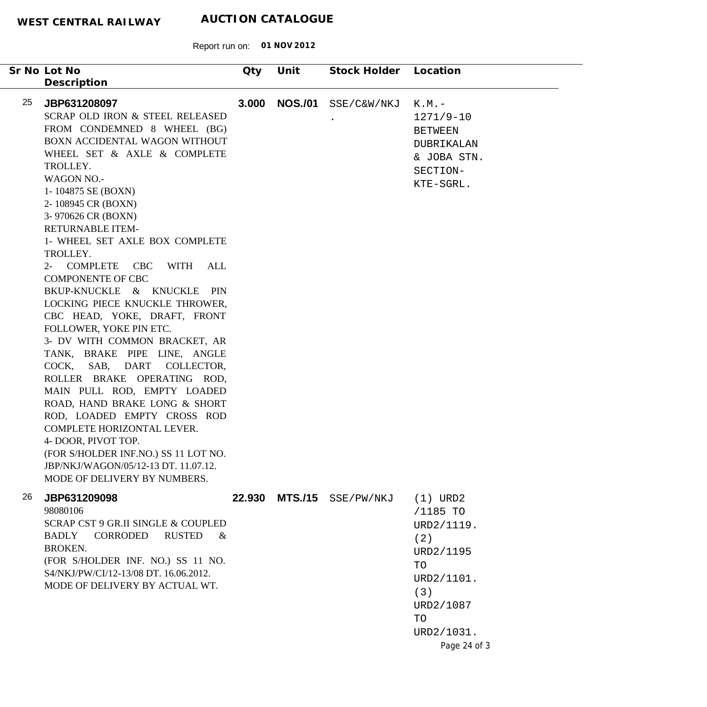|    | Sr No Lot No<br>Description                                                                                                                                                                                                                                                                                                                                                                                                                                                                                                                                                                                                                                                                                                                                                                                                                                                                                                  | Qty   | Unit           | Stock Holder              | Location                                                                                                                             |
|----|------------------------------------------------------------------------------------------------------------------------------------------------------------------------------------------------------------------------------------------------------------------------------------------------------------------------------------------------------------------------------------------------------------------------------------------------------------------------------------------------------------------------------------------------------------------------------------------------------------------------------------------------------------------------------------------------------------------------------------------------------------------------------------------------------------------------------------------------------------------------------------------------------------------------------|-------|----------------|---------------------------|--------------------------------------------------------------------------------------------------------------------------------------|
| 25 | JBP631208097<br>SCRAP OLD IRON & STEEL RELEASED<br>FROM CONDEMNED 8 WHEEL (BG)<br>BOXN ACCIDENTAL WAGON WITHOUT<br>WHEEL SET & AXLE & COMPLETE<br>TROLLEY.<br><b>WAGON NO.-</b><br>1-104875 SE (BOXN)<br>2-108945 CR (BOXN)<br>3-970626 CR (BOXN)<br><b>RETURNABLE ITEM-</b><br>1- WHEEL SET AXLE BOX COMPLETE<br>TROLLEY.<br>2- COMPLETE CBC WITH ALL<br><b>COMPONENTE OF CBC</b><br>BKUP-KNUCKLE & KNUCKLE<br><b>PIN</b><br>LOCKING PIECE KNUCKLE THROWER,<br>CBC HEAD, YOKE, DRAFT, FRONT<br>FOLLOWER, YOKE PIN ETC.<br>3- DV WITH COMMON BRACKET, AR<br>TANK, BRAKE PIPE LINE, ANGLE<br>COCK, SAB, DART<br>COLLECTOR,<br>ROLLER BRAKE OPERATING ROD,<br>MAIN PULL ROD, EMPTY LOADED<br>ROAD, HAND BRAKE LONG & SHORT<br>ROD, LOADED EMPTY CROSS ROD<br>COMPLETE HORIZONTAL LEVER.<br>4- DOOR, PIVOT TOP.<br>(FOR S/HOLDER INF.NO.) SS 11 LOT NO.<br>JBP/NKJ/WAGON/05/12-13 DT. 11.07.12.<br>MODE OF DELIVERY BY NUMBERS. | 3.000 | <b>NOS./01</b> | SSE/C&W/NKJ               | $K.M.$ $-$<br>1271/9-10<br><b>BETWEEN</b><br>DUBRIKALAN<br>& JOBA STN.<br>SECTION-<br>KTE-SGRL.                                      |
| 26 | JBP631209098<br>98080106<br>SCRAP CST 9 GR.II SINGLE & COUPLED<br><b>RUSTED</b><br>CORRODED<br><b>BADLY</b><br>$\&$<br><b>BROKEN.</b><br>(FOR S/HOLDER INF. NO.) SS 11 NO.<br>S4/NKJ/PW/CI/12-13/08 DT. 16.06.2012.<br>MODE OF DELIVERY BY ACTUAL WT.                                                                                                                                                                                                                                                                                                                                                                                                                                                                                                                                                                                                                                                                        |       |                | 22.930 MTS./15 SSE/PW/NKJ | $(1)$ URD2<br>/1185 TO<br>URD2/1119.<br>(2)<br>URD2/1195<br>TO<br>URD2/1101.<br>(3)<br>URD2/1087<br>TO<br>URD2/1031.<br>Page 24 of 3 |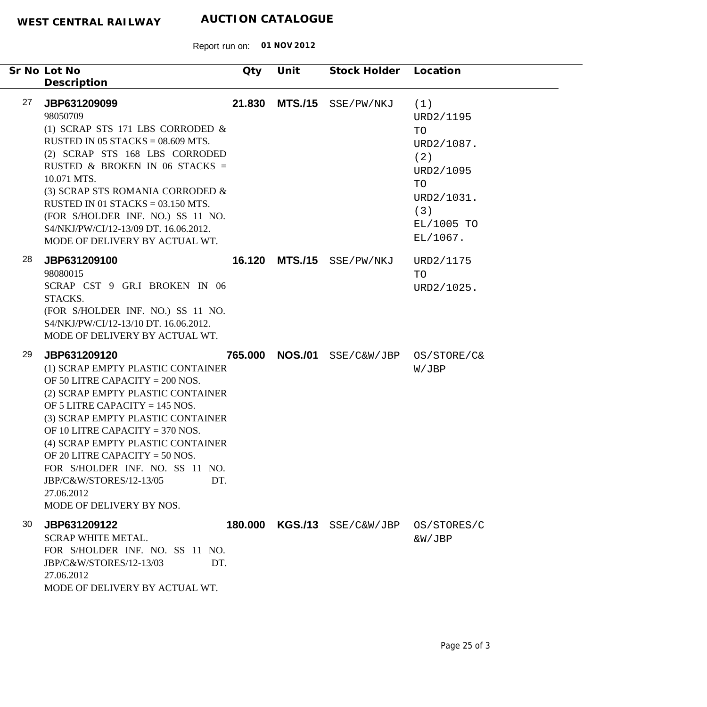| Sr No Lot No<br>Description                   |                                                                                                                                                                                                                                                                                                                                                                                                     | Qty     | Unit           | Stock Holder          | Location                                                                                                      |
|-----------------------------------------------|-----------------------------------------------------------------------------------------------------------------------------------------------------------------------------------------------------------------------------------------------------------------------------------------------------------------------------------------------------------------------------------------------------|---------|----------------|-----------------------|---------------------------------------------------------------------------------------------------------------|
| 27<br>JBP631209099<br>98050709<br>10.071 MTS. | (1) SCRAP STS 171 LBS CORRODED $\&$<br>RUSTED IN 05 STACKS = $08.609$ MTS.<br>(2) SCRAP STS 168 LBS CORRODED<br>RUSTED & BROKEN IN 06 STACKS =<br>(3) SCRAP STS ROMANIA CORRODED &<br>RUSTED IN 01 STACKS = $03.150$ MTS.<br>(FOR S/HOLDER INF. NO.) SS 11 NO.<br>S4/NKJ/PW/CI/12-13/09 DT. 16.06.2012.<br>MODE OF DELIVERY BY ACTUAL WT.                                                           | 21.830  | <b>MTS./15</b> | SSE/PW/NKJ            | (1)<br>URD2/1195<br>TO<br>URD2/1087.<br>(2)<br>URD2/1095<br>TO<br>URD2/1031.<br>(3)<br>EL/1005 TO<br>EL/1067. |
| 28<br>JBP631209100<br>98080015<br>STACKS.     | SCRAP CST 9 GR.I BROKEN IN 06<br>(FOR S/HOLDER INF. NO.) SS 11 NO.<br>S4/NKJ/PW/CI/12-13/10 DT. 16.06.2012.<br>MODE OF DELIVERY BY ACTUAL WT.                                                                                                                                                                                                                                                       | 16.120  |                | MTS./15 SSE/PW/NKJ    | URD2/1175<br>TO<br>URD2/1025.                                                                                 |
| 29<br>JBP631209120<br>27.06.2012              | (1) SCRAP EMPTY PLASTIC CONTAINER<br>OF 50 LITRE CAPACITY = $200$ NOS.<br>(2) SCRAP EMPTY PLASTIC CONTAINER<br>OF 5 LITRE CAPACITY = $145$ NOS.<br>(3) SCRAP EMPTY PLASTIC CONTAINER<br>OF 10 LITRE CAPACITY = $370$ NOS.<br>(4) SCRAP EMPTY PLASTIC CONTAINER<br>OF 20 LITRE CAPACITY = $50$ NOS.<br>FOR S/HOLDER INF. NO. SS 11 NO.<br>JBP/C&W/STORES/12-13/05<br>DT.<br>MODE OF DELIVERY BY NOS. | 765.000 | <b>NOS./01</b> | SSE/C&W/JBP           | OS/STORE/C&<br>W/JBP                                                                                          |
| 30<br>JBP631209122<br>27.06.2012              | <b>SCRAP WHITE METAL.</b><br>FOR S/HOLDER INF. NO. SS 11 NO.<br>JBP/C&W/STORES/12-13/03<br>DT.<br>MODE OF DELIVERY BY ACTUAL WT.                                                                                                                                                                                                                                                                    | 180.000 |                | $KGS./13$ SSE/C&W/JBP | OS/STORES/C<br>&W/JBP                                                                                         |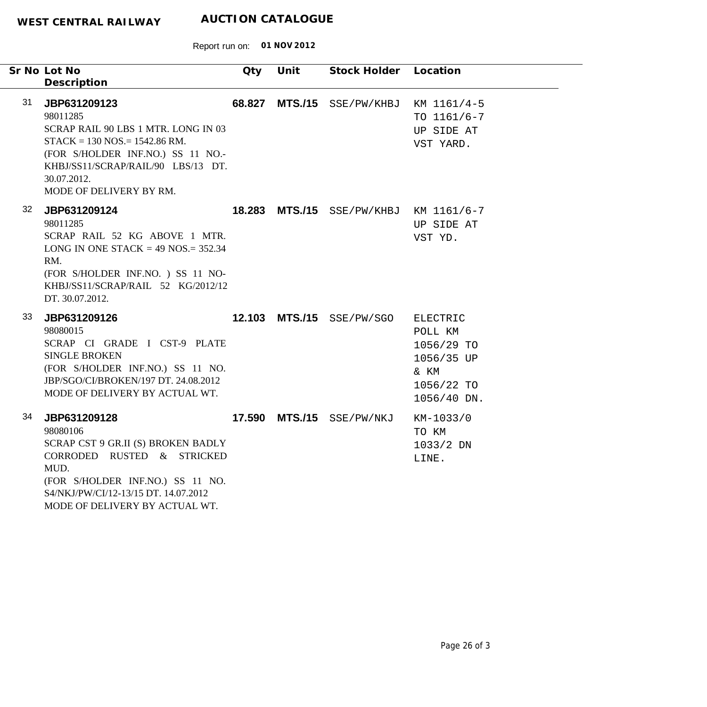|    | Sr No Lot No<br>Description                                                                                                                                                                                             | Qty | Unit | Stock Holder Location                  |                                                                                      |
|----|-------------------------------------------------------------------------------------------------------------------------------------------------------------------------------------------------------------------------|-----|------|----------------------------------------|--------------------------------------------------------------------------------------|
| 31 | JBP631209123<br>98011285<br>SCRAP RAIL 90 LBS 1 MTR. LONG IN 03<br>$STACK = 130 NOS = 1542.86 RM.$<br>(FOR S/HOLDER INF.NO.) SS 11 NO.-<br>KHBJ/SS11/SCRAP/RAIL/90 LBS/13 DT.<br>30.07.2012.<br>MODE OF DELIVERY BY RM. |     |      | 68.827 MTS./15 SSE/PW/KHBJ             | KM 1161/4-5<br>TO $1161/6 - 7$<br>UP SIDE AT<br>VST YARD.                            |
| 32 | JBP631209124<br>98011285<br>SCRAP RAIL 52 KG ABOVE 1 MTR.<br>LONG IN ONE STACK = $49$ NOS = $352.34$<br>RM.<br>(FOR S/HOLDER INF.NO.) SS 11 NO-<br>KHBJ/SS11/SCRAP/RAIL 52 KG/2012/12<br>DT. 30.07.2012.                |     |      | 18.283 MTS./15 SSE/PW/KHBJ KM 1161/6-7 | UP SIDE AT<br>VST YD.                                                                |
| 33 | JBP631209126<br>98080015<br>SCRAP CI GRADE I CST-9 PLATE<br><b>SINGLE BROKEN</b><br>(FOR S/HOLDER INF.NO.) SS 11 NO.<br>JBP/SGO/CI/BROKEN/197 DT. 24.08.2012<br>MODE OF DELIVERY BY ACTUAL WT.                          |     |      | 12.103 MTS./15 SSE/PW/SGO              | ELECTRIC<br>POLL KM<br>1056/29 TO<br>1056/35 UP<br>& KM<br>1056/22 TO<br>1056/40 DN. |
| 34 | JBP631209128<br>98080106<br>SCRAP CST 9 GR.II (S) BROKEN BADLY<br>CORRODED RUSTED & STRICKED<br>MUD.<br>(FOR S/HOLDER INF.NO.) SS 11 NO.<br>S4/NKJ/PW/CI/12-13/15 DT. 14.07.2012<br>MODE OF DELIVERY BY ACTUAL WT.      |     |      | 17.590 MTS./15 SSE/PW/NKJ              | KM-1033/0<br>TO KM<br>$1033/2$ DN<br>LINE.                                           |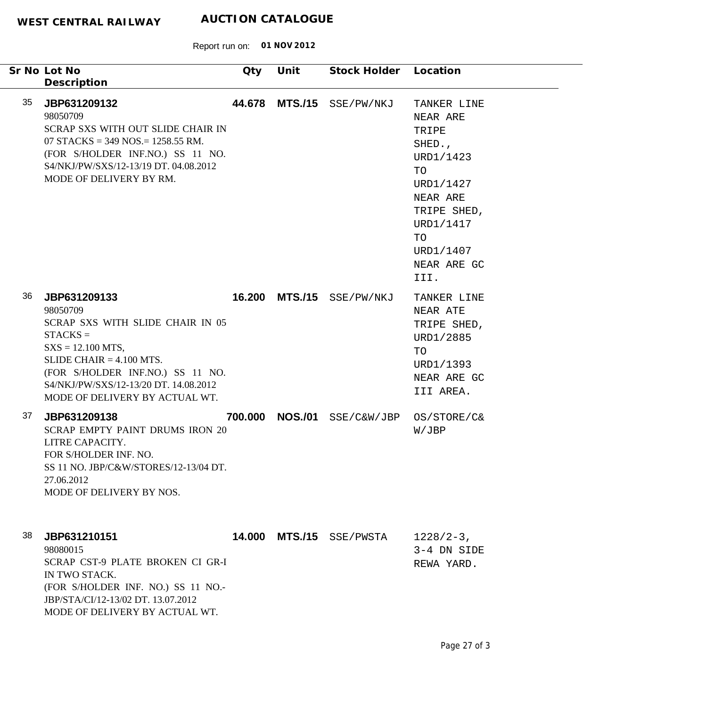|    | Sr No Lot No<br>Description                                                                                                                                                                                                                     | Qty     | Unit           | Stock Holder | Location                                                                                                                                                     |
|----|-------------------------------------------------------------------------------------------------------------------------------------------------------------------------------------------------------------------------------------------------|---------|----------------|--------------|--------------------------------------------------------------------------------------------------------------------------------------------------------------|
| 35 | JBP631209132<br>98050709<br>SCRAP SXS WITH OUT SLIDE CHAIR IN<br>07 STACKS = 349 NOS. = 1258.55 RM.<br>(FOR S/HOLDER INF.NO.) SS 11 NO.<br>S4/NKJ/PW/SXS/12-13/19 DT, 04.08.2012<br>MODE OF DELIVERY BY RM.                                     | 44.678  | <b>MTS./15</b> | SSE/PW/NKJ   | TANKER LINE<br>NEAR ARE<br>TRIPE<br>SHED.,<br>URD1/1423<br>TO<br>URD1/1427<br>NEAR ARE<br>TRIPE SHED,<br>URD1/1417<br>TO<br>URD1/1407<br>NEAR ARE GC<br>III. |
| 36 | JBP631209133<br>98050709<br>SCRAP SXS WITH SLIDE CHAIR IN 05<br>$STACKS =$<br>$SXS = 12.100 MTS$ ,<br>SLIDE CHAIR $= 4.100$ MTS.<br>(FOR S/HOLDER INF.NO.) SS 11 NO.<br>S4/NKJ/PW/SXS/12-13/20 DT. 14.08.2012<br>MODE OF DELIVERY BY ACTUAL WT. |         | 16.200 MTS./15 | SSE/PW/NKJ   | TANKER LINE<br>NEAR ATE<br>TRIPE SHED,<br>URD1/2885<br>TO<br>URD1/1393<br>NEAR ARE GC<br>III AREA.                                                           |
| 37 | JBP631209138<br><b>SCRAP EMPTY PAINT DRUMS IRON 20</b><br>LITRE CAPACITY.<br>FOR S/HOLDER INF. NO.<br>SS 11 NO. JBP/C&W/STORES/12-13/04 DT.<br>27.06.2012<br>MODE OF DELIVERY BY NOS.                                                           | 700.000 | <b>NOS./01</b> | SSE/C&W/JBP  | OS/STORE/C&<br>W/JBP                                                                                                                                         |
| 38 | JBP631210151<br>98080015<br>SCRAP CST-9 PLATE BROKEN CI GR-I<br>IN TWO STACK.<br>(FOR S/HOLDER INF. NO.) SS 11 NO.-<br>JBP/STA/CI/12-13/02 DT. 13.07.2012<br>MODE OF DELIVERY BY ACTUAL WT.                                                     |         | 14.000 MTS./15 | SSE/PWSTA    | $1228/2-3$ ,<br>3-4 DN SIDE<br>REWA YARD.                                                                                                                    |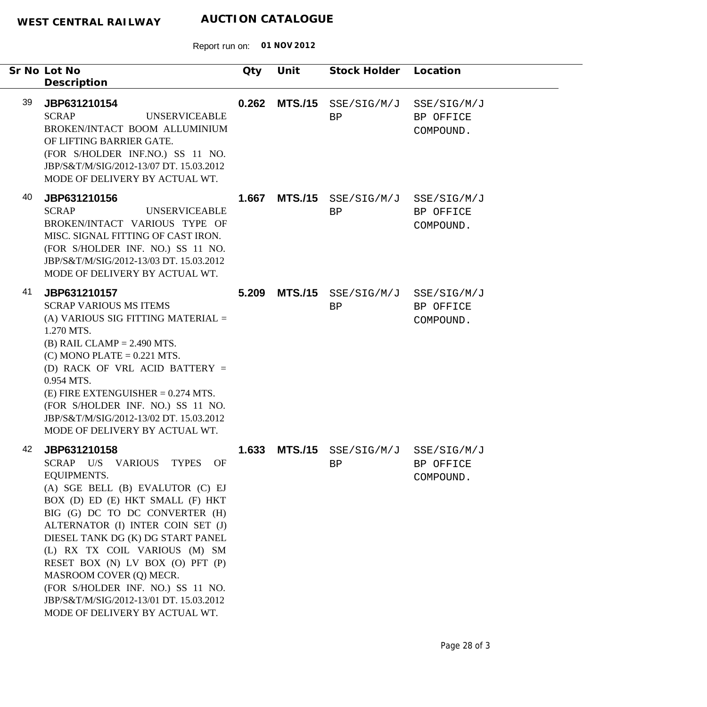| Sr No Lot No<br>Description                                                                                                                                                                                                                                                                                                                                                                                                                                                  | Qty   | Unit           | Stock Holder                          | Location                              |
|------------------------------------------------------------------------------------------------------------------------------------------------------------------------------------------------------------------------------------------------------------------------------------------------------------------------------------------------------------------------------------------------------------------------------------------------------------------------------|-------|----------------|---------------------------------------|---------------------------------------|
| 39<br>JBP631210154<br><b>SCRAP</b><br><b>UNSERVICEABLE</b><br>BROKEN/INTACT BOOM ALLUMINIUM<br>OF LIFTING BARRIER GATE.<br>(FOR S/HOLDER INF.NO.) SS 11 NO.<br>JBP/S&T/M/SIG/2012-13/07 DT. 15.03.2012<br>MODE OF DELIVERY BY ACTUAL WT.                                                                                                                                                                                                                                     | 0.262 |                | $MTS./15$ $SSE/SIG/M/J$<br>BP         | SSE/SIG/M/J<br>BP OFFICE<br>COMPOUND. |
| 40<br>JBP631210156<br><b>SCRAP</b><br><b>UNSERVICEABLE</b><br>BROKEN/INTACT VARIOUS TYPE OF<br>MISC. SIGNAL FITTING OF CAST IRON.<br>(FOR S/HOLDER INF. NO.) SS 11 NO.<br>JBP/S&T/M/SIG/2012-13/03 DT. 15.03.2012<br>MODE OF DELIVERY BY ACTUAL WT.                                                                                                                                                                                                                          | 1.667 |                | MTS./15 SSE/SIG/M/J SSE/SIG/M/J<br>BP | BP OFFICE<br>COMPOUND.                |
| 41<br>JBP631210157<br><b>SCRAP VARIOUS MS ITEMS</b><br>(A) VARIOUS SIG FITTING MATERIAL =<br>1.270 MTS.<br>$(B)$ RAIL CLAMP = 2.490 MTS.<br>$(C)$ MONO PLATE = 0.221 MTS.<br>(D) RACK OF VRL ACID BATTERY $=$<br>0.954 MTS.<br>$(E)$ FIRE EXTENGUISHER = 0.274 MTS.<br>(FOR S/HOLDER INF. NO.) SS 11 NO.<br>JBP/S&T/M/SIG/2012-13/02 DT. 15.03.2012<br>MODE OF DELIVERY BY ACTUAL WT.                                                                                        | 5.209 | <b>MTS./15</b> | SSE/SIG/M/J SSE/SIG/M/J<br>BP         | BP OFFICE<br>COMPOUND.                |
| 42<br>JBP631210158<br>SCRAP U/S VARIOUS TYPES OF<br><b>EQUIPMENTS.</b><br>(A) SGE BELL (B) EVALUTOR (C) EJ<br>BOX (D) ED (E) HKT SMALL (F) HKT<br>BIG (G) DC TO DC CONVERTER (H)<br>ALTERNATOR (I) INTER COIN SET (J)<br>DIESEL TANK DG (K) DG START PANEL<br>(L) RX TX COIL VARIOUS (M) SM<br>RESET BOX (N) LV BOX (O) PFT (P)<br>MASROOM COVER (Q) MECR.<br>(FOR S/HOLDER INF. NO.) SS 11 NO.<br>JBP/S&T/M/SIG/2012-13/01 DT. 15.03.2012<br>MODE OF DELIVERY BY ACTUAL WT. | 1.633 |                | MTS./15 SSE/SIG/M/J SSE/SIG/M/J<br>BP | BP OFFICE<br>COMPOUND.                |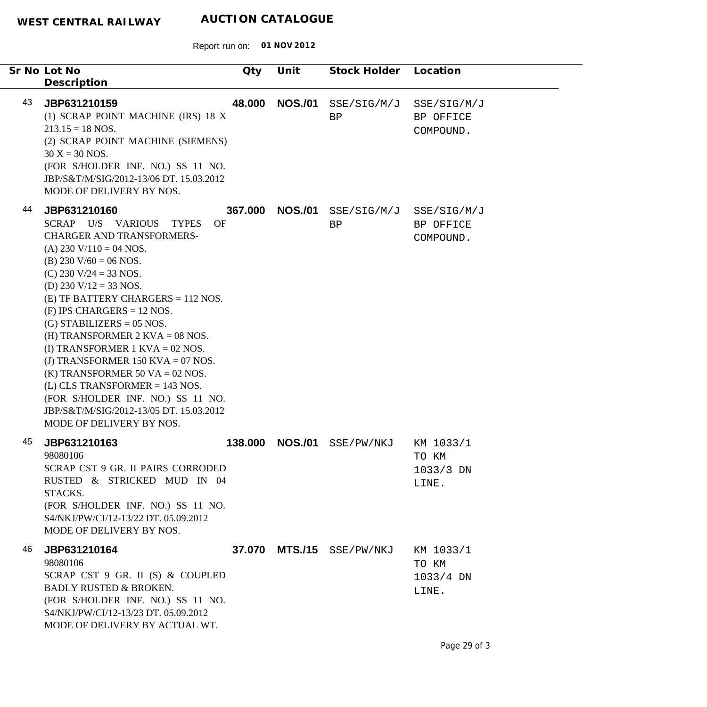Report run on: **01 NOV 2012**

|    | Sr No Lot No<br>Description                                                                                                                                                                                                                                                                                                                                                                                                                                                                                                                                                                                          | Qty     | Unit           | Stock Holder              | Location                                   |
|----|----------------------------------------------------------------------------------------------------------------------------------------------------------------------------------------------------------------------------------------------------------------------------------------------------------------------------------------------------------------------------------------------------------------------------------------------------------------------------------------------------------------------------------------------------------------------------------------------------------------------|---------|----------------|---------------------------|--------------------------------------------|
| 43 | JBP631210159<br>(1) SCRAP POINT MACHINE (IRS) 18 X<br>$213.15 = 18$ NOS.<br>(2) SCRAP POINT MACHINE (SIEMENS)<br>$30 X = 30 NOS.$<br>(FOR S/HOLDER INF. NO.) SS 11 NO.<br>JBP/S&T/M/SIG/2012-13/06 DT. 15.03.2012<br>MODE OF DELIVERY BY NOS.                                                                                                                                                                                                                                                                                                                                                                        | 48.000  | <b>NOS./01</b> | SSE/SIG/M/J<br>BP         | SSE/SIG/M/J<br>BP OFFICE<br>COMPOUND.      |
| 44 | JBP631210160<br>SCRAP U/S VARIOUS<br><b>TYPES</b><br><b>OF</b><br><b>CHARGER AND TRANSFORMERS-</b><br>(A) 230 V/110 = 04 NOS.<br>(B) 230 V/60 = 06 NOS.<br>(C) 230 V/24 = 33 NOS.<br>(D) 230 V/12 = 33 NOS.<br>$(E)$ TF BATTERY CHARGERS = 112 NOS.<br>$(F)$ IPS CHARGERS = 12 NOS.<br>$(G)$ STABILIZERS = 05 NOS.<br>(H) TRANSFORMER $2$ KVA = 08 NOS.<br>(I) TRANSFORMER $1$ KVA = 02 NOS.<br>(J) TRANSFORMER 150 KVA = 07 NOS.<br>(K) TRANSFORMER 50 VA = 02 NOS.<br>$(L)$ CLS TRANSFORMER = 143 NOS.<br>(FOR S/HOLDER INF. NO.) SS 11 NO.<br>JBP/S&T/M/SIG/2012-13/05 DT. 15.03.2012<br>MODE OF DELIVERY BY NOS. | 367.000 | <b>NOS./01</b> | SSE/SIG/M/J<br>BP         | SSE/SIG/M/J<br>BP OFFICE<br>COMPOUND.      |
| 45 | JBP631210163<br>98080106<br>SCRAP CST 9 GR. II PAIRS CORRODED<br>RUSTED & STRICKED MUD IN 04<br>STACKS.<br>(FOR S/HOLDER INF. NO.) SS 11 NO.<br>S4/NKJ/PW/CI/12-13/22 DT. 05.09.2012<br>MODE OF DELIVERY BY NOS.                                                                                                                                                                                                                                                                                                                                                                                                     | 138.000 | <b>NOS./01</b> | SSE/PW/NKJ                | KM 1033/1<br>TO KM<br>$1033/3$ DN<br>LINE. |
| 46 | JBP631210164<br>98080106<br>SCRAP CST 9 GR. II (S) & COUPLED<br><b>BADLY RUSTED &amp; BROKEN.</b><br>(FOR S/HOLDER INF. NO.) SS 11 NO.<br>S4/NKJ/PW/CI/12-13/23 DT. 05.09.2012<br>MODE OF DELIVERY BY ACTUAL WT.                                                                                                                                                                                                                                                                                                                                                                                                     |         |                | 37.070 MTS./15 SSE/PW/NKJ | KM 1033/1<br>TO KM<br>$1033/4$ DN<br>LINE. |

 $\overline{\phantom{0}}$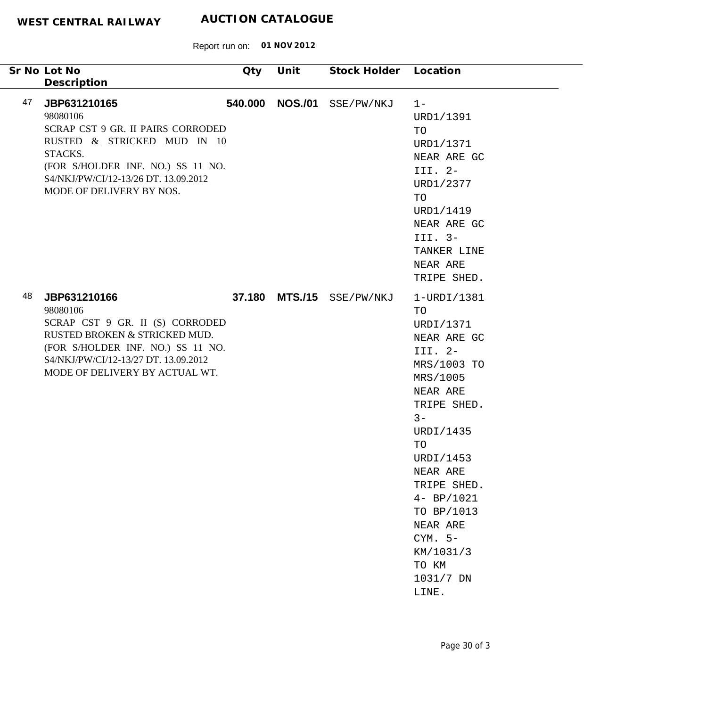| Sr No Lot No                                                                                                                                                                                                           | Qty     | Unit           | Stock Holder Location |                                                                                                                                                                                                                                                                                        |
|------------------------------------------------------------------------------------------------------------------------------------------------------------------------------------------------------------------------|---------|----------------|-----------------------|----------------------------------------------------------------------------------------------------------------------------------------------------------------------------------------------------------------------------------------------------------------------------------------|
| Description                                                                                                                                                                                                            |         |                |                       |                                                                                                                                                                                                                                                                                        |
| 47<br>JBP631210165<br>98080106<br>SCRAP CST 9 GR. II PAIRS CORRODED<br>RUSTED & STRICKED MUD IN 10<br>STACKS.<br>(FOR S/HOLDER INF. NO.) SS 11 NO.<br>S4/NKJ/PW/CI/12-13/26 DT. 13.09.2012<br>MODE OF DELIVERY BY NOS. | 540.000 | <b>NOS./01</b> | SSE/PW/NKJ            | $1 -$<br>URD1/1391<br>TO<br>URD1/1371<br>NEAR ARE GC<br>III. 2-<br>URD1/2377<br>TO<br>URD1/1419<br>NEAR ARE GC<br>III. 3-<br>TANKER LINE<br>NEAR ARE<br>TRIPE SHED.                                                                                                                    |
| 48<br>JBP631210166<br>98080106<br>SCRAP CST 9 GR. II (S) CORRODED<br>RUSTED BROKEN & STRICKED MUD.<br>(FOR S/HOLDER INF. NO.) SS 11 NO.<br>S4/NKJ/PW/CI/12-13/27 DT. 13.09.2012<br>MODE OF DELIVERY BY ACTUAL WT.      | 37.180  | <b>MTS./15</b> | SSE/PW/NKJ            | 1-URDI/1381<br>TO<br>URDI/1371<br>NEAR ARE GC<br>III. 2-<br>MRS/1003 TO<br>MRS/1005<br>NEAR ARE<br>TRIPE SHED.<br>$3 -$<br>URDI/1435<br>TO<br>URDI/1453<br>NEAR ARE<br>TRIPE SHED.<br>$4 - BP/1021$<br>TO BP/1013<br>NEAR ARE<br>$CYM. 5-$<br>KM/1031/3<br>TO KM<br>1031/7 DN<br>LINE. |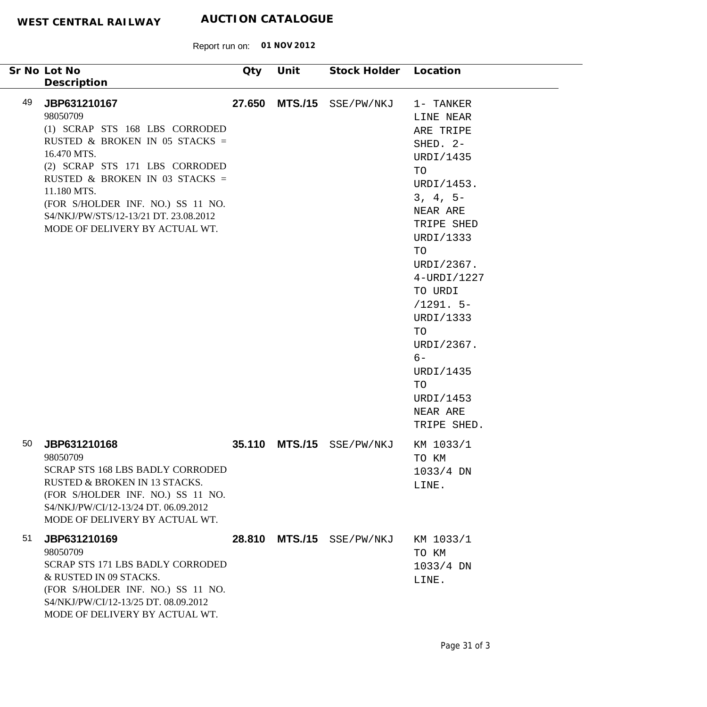|    | Sr No Lot No<br>Description                                                                                                                                                                                                                                                                                    | Qty    | Unit           | Stock Holder Location |                                                                                                                                                                                                                                                                                                       |
|----|----------------------------------------------------------------------------------------------------------------------------------------------------------------------------------------------------------------------------------------------------------------------------------------------------------------|--------|----------------|-----------------------|-------------------------------------------------------------------------------------------------------------------------------------------------------------------------------------------------------------------------------------------------------------------------------------------------------|
| 49 | JBP631210167<br>98050709<br>(1) SCRAP STS 168 LBS CORRODED<br>RUSTED & BROKEN IN 05 STACKS =<br>16.470 MTS.<br>(2) SCRAP STS 171 LBS CORRODED<br>RUSTED & BROKEN IN 03 STACKS =<br>11.180 MTS.<br>(FOR S/HOLDER INF. NO.) SS 11 NO.<br>S4/NKJ/PW/STS/12-13/21 DT. 23.08.2012<br>MODE OF DELIVERY BY ACTUAL WT. | 27.650 |                | MTS./15 SSE/PW/NKJ    | 1- TANKER<br>LINE NEAR<br>ARE TRIPE<br>SHED. 2-<br>URDI/1435<br>TO<br>URDI/1453.<br>$3, 4, 5-$<br>NEAR ARE<br>TRIPE SHED<br>URDI/1333<br>TO<br>URDI/2367.<br>4-URDI/1227<br>TO URDI<br>$/1291.5-$<br>URDI/1333<br>TO<br>URDI/2367.<br>$6-$<br>URDI/1435<br>TO<br>URDI/1453<br>NEAR ARE<br>TRIPE SHED. |
| 50 | JBP631210168<br>98050709<br><b>SCRAP STS 168 LBS BADLY CORRODED</b><br><b>RUSTED &amp; BROKEN IN 13 STACKS.</b><br>(FOR S/HOLDER INF. NO.) SS 11 NO.<br>S4/NKJ/PW/CI/12-13/24 DT. 06.09.2012<br>MODE OF DELIVERY BY ACTUAL WT.                                                                                 | 35.110 | <b>MTS./15</b> | SSE/PW/NKJ            | KM 1033/1<br>TO KM<br>1033/4 DN<br>LINE.                                                                                                                                                                                                                                                              |
| 51 | JBP631210169<br>98050709<br>SCRAP STS 171 LBS BADLY CORRODED<br>& RUSTED IN 09 STACKS.<br>(FOR S/HOLDER INF. NO.) SS 11 NO.<br>S4/NKJ/PW/CI/12-13/25 DT. 08.09.2012<br>MODE OF DELIVERY BY ACTUAL WT.                                                                                                          | 28.810 | <b>MTS./15</b> | SSE/PW/NKJ            | KM 1033/1<br>TO KM<br>$1033/4$ DN<br>LINE.                                                                                                                                                                                                                                                            |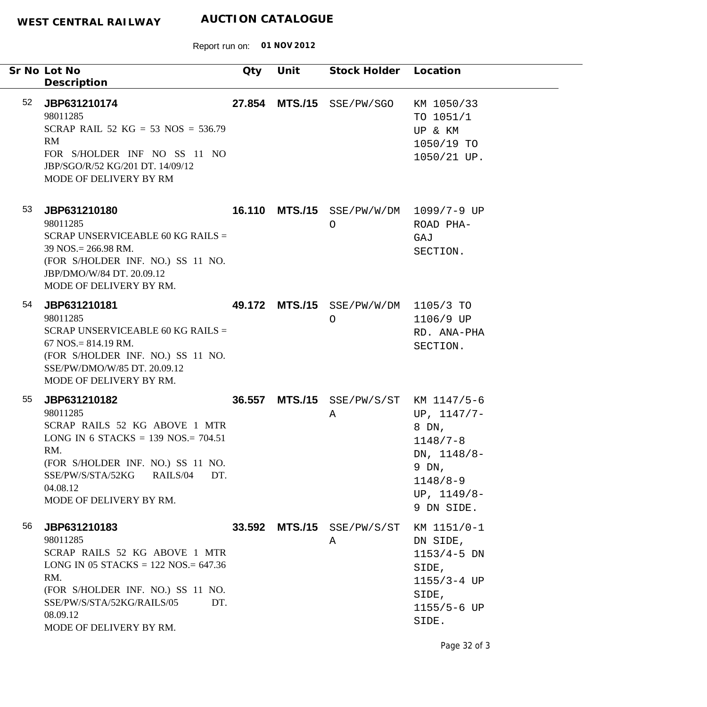Report run on: **01 NOV 2012**

|    | Sr No Lot No<br>Description                                                                                                                                                                                                    | Qty | Unit | Stock Holder Location                           |                                                                                                               |
|----|--------------------------------------------------------------------------------------------------------------------------------------------------------------------------------------------------------------------------------|-----|------|-------------------------------------------------|---------------------------------------------------------------------------------------------------------------|
| 52 | JBP631210174<br>98011285<br>SCRAP RAIL 52 KG = 53 NOS = $536.79$<br>RM<br>FOR S/HOLDER INF NO SS 11 NO<br>JBP/SGO/R/52 KG/201 DT. 14/09/12<br>MODE OF DELIVERY BY RM                                                           |     |      | 27.854 MTS./15 SSE/PW/SGO                       | KM 1050/33<br>TO 1051/1<br>UP & KM<br>1050/19 TO<br>1050/21 UP.                                               |
| 53 | JBP631210180<br>98011285<br>SCRAP UNSERVICEABLE 60 KG RAILS =<br>$39$ NOS. = 266.98 RM.<br>(FOR S/HOLDER INF. NO.) SS 11 NO.<br>JBP/DMO/W/84 DT. 20.09.12<br>MODE OF DELIVERY BY RM.                                           |     |      | 16.110 MTS./15 SSE/PW/W/DM 1099/7-9 UP<br>O     | ROAD PHA-<br>GAJ<br>SECTION.                                                                                  |
| 54 | JBP631210181<br>98011285<br>SCRAP UNSERVICEABLE 60 KG RAILS =<br>$67$ NOS. = 814.19 RM.<br>(FOR S/HOLDER INF. NO.) SS 11 NO.<br>SSE/PW/DMO/W/85 DT. 20.09.12<br>MODE OF DELIVERY BY RM.                                        |     |      | 49.172 MTS./15 SSE/PW/W/DM 1105/3 TO<br>$\circ$ | 1106/9 UP<br>RD. ANA-PHA<br>SECTION.                                                                          |
| 55 | JBP631210182<br>98011285<br>SCRAP RAILS 52 KG ABOVE 1 MTR<br>LONG IN 6 STACKS = 139 NOS. = $704.51$<br>RM.<br>(FOR S/HOLDER INF. NO.) SS 11 NO.<br>SSE/PW/S/STA/52KG<br>RAILS/04<br>DT.<br>04.08.12<br>MODE OF DELIVERY BY RM. |     |      | 36.557 MTS./15 SSE/PW/S/ST KM 1147/5-6<br>Α     | UP, $1147/7-$<br>8 DN,<br>$1148/7 - 8$<br>DN, 1148/8-<br>9 DN,<br>$1148/8 - 9$<br>UP, $1149/8-$<br>9 DN SIDE. |
| 56 | JBP631210183<br>98011285<br>SCRAP RAILS 52 KG ABOVE 1 MTR<br>LONG IN 05 STACKS = $122$ NOS = $647.36$<br>RM.<br>(FOR S/HOLDER INF. NO.) SS 11 NO.<br>SSE/PW/S/STA/52KG/RAILS/05<br>DT.<br>08.09.12<br>MODE OF DELIVERY BY RM.  |     |      | 33.592 MTS./15 SSE/PW/S/ST<br>Α                 | KM 1151/0-1<br>DN SIDE,<br>$1153/4-5$ DN<br>SIDE,<br>$1155/3 - 4$ UP<br>SIDE,<br>1155/5-6 UP<br>SIDE.         |

Page 32 of 3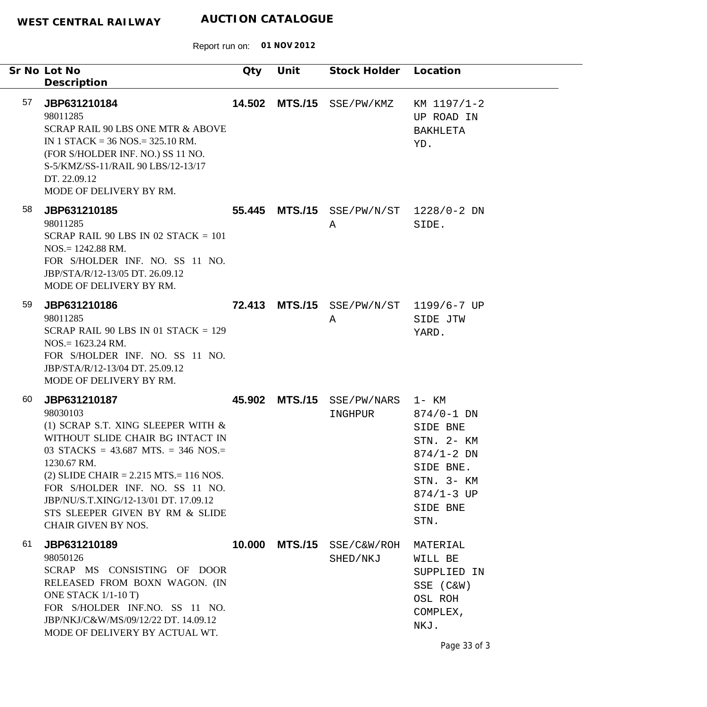|    | Sr No Lot No<br>Description                                                                                                                                                                                                                                                                                                                           | Qty    | Unit           | Stock Holder Location                       |                                                                                                                             |
|----|-------------------------------------------------------------------------------------------------------------------------------------------------------------------------------------------------------------------------------------------------------------------------------------------------------------------------------------------------------|--------|----------------|---------------------------------------------|-----------------------------------------------------------------------------------------------------------------------------|
| 57 | JBP631210184<br>98011285<br>SCRAP RAIL 90 LBS ONE MTR & ABOVE<br>IN 1 STACK = $36$ NOS = $325.10$ RM.<br>(FOR S/HOLDER INF. NO.) SS 11 NO.<br>S-5/KMZ/SS-11/RAIL 90 LBS/12-13/17<br>DT. 22.09.12<br>MODE OF DELIVERY BY RM.                                                                                                                           | 14.502 | <b>MTS./15</b> | SSE/PW/KMZ                                  | KM 1197/1-2<br>UP ROAD IN<br>BAKHLETA<br>YD.                                                                                |
| 58 | JBP631210185<br>98011285<br>SCRAP RAIL 90 LBS IN 02 STACK $= 101$<br>$NOS = 1242.88$ RM.<br>FOR S/HOLDER INF. NO. SS 11 NO.<br>JBP/STA/R/12-13/05 DT. 26.09.12<br>MODE OF DELIVERY BY RM.                                                                                                                                                             |        |                | 55.445 MTS./15 SSE/PW/N/ST 1228/0-2 DN<br>A | SIDE.                                                                                                                       |
| 59 | JBP631210186<br>98011285<br>SCRAP RAIL 90 LBS IN 01 STACK = $129$<br>$NOS = 1623.24$ RM.<br>FOR S/HOLDER INF. NO. SS 11 NO.<br>JBP/STA/R/12-13/04 DT. 25.09.12<br>MODE OF DELIVERY BY RM.                                                                                                                                                             |        |                | 72.413 MTS./15 SSE/PW/N/ST 1199/6-7 UP<br>A | SIDE JTW<br>YARD.                                                                                                           |
| 60 | JBP631210187<br>98030103<br>(1) SCRAP S.T. XING SLEEPER WITH $\&$<br>WITHOUT SLIDE CHAIR BG INTACT IN<br>03 STACKS = 43.687 MTS. = 346 NOS.=<br>1230.67 RM.<br>$(2)$ SLIDE CHAIR = 2.215 MTS. = 116 NOS.<br>FOR S/HOLDER INF. NO. SS 11 NO.<br>JBP/NU/S.T.XING/12-13/01 DT. 17.09.12<br>STS SLEEPER GIVEN BY RM & SLIDE<br><b>CHAIR GIVEN BY NOS.</b> | 45.902 | <b>MTS./15</b> | SSE/PW/NARS 1- KM<br>INGHPUR                | $874/0 - 1$ DN<br>SIDE BNE<br>STN. 2- KM<br>$874/1 - 2$ DN<br>SIDE BNE.<br>STN. 3- KM<br>$874/1 - 3$ UP<br>SIDE BNE<br>STN. |
| 61 | JBP631210189<br>98050126<br>SCRAP MS CONSISTING OF DOOR<br>RELEASED FROM BOXN WAGON. (IN<br>ONE STACK 1/1-10 T)<br>FOR S/HOLDER INF.NO. SS 11 NO.<br>JBP/NKJ/C&W/MS/09/12/22 DT. 14.09.12<br>MODE OF DELIVERY BY ACTUAL WT.                                                                                                                           | 10.000 | <b>MTS./15</b> | SSE/C&W/ROH<br>SHED/NKJ                     | MATERIAL<br>WILL BE<br>SUPPLIED IN<br>SSE (C&W)<br>OSL ROH<br>COMPLEX,<br>NKJ.<br>Page 33 of 3                              |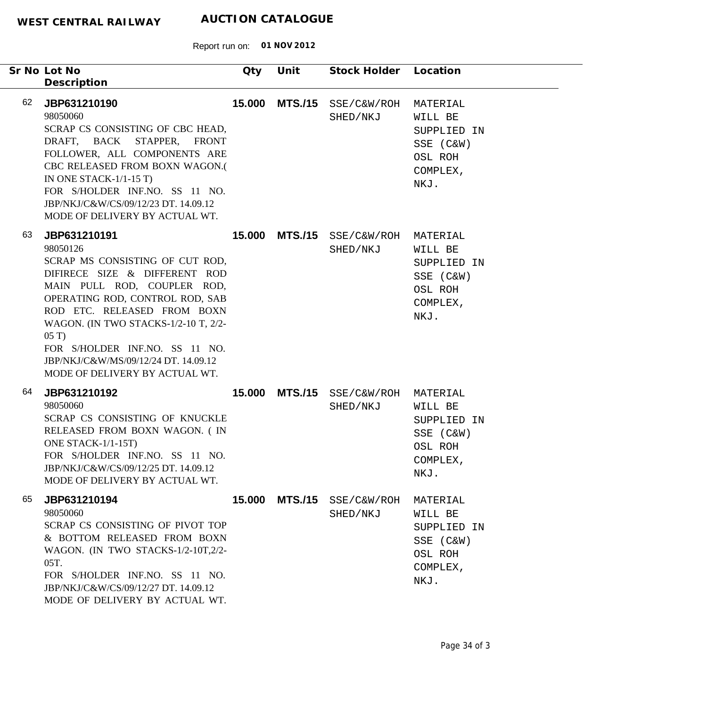|    | Sr No Lot No<br>Description                                                                                                                                                                                                                                                                                                                              | Qty    | Unit           | Stock Holder Location            |                                                                                |
|----|----------------------------------------------------------------------------------------------------------------------------------------------------------------------------------------------------------------------------------------------------------------------------------------------------------------------------------------------------------|--------|----------------|----------------------------------|--------------------------------------------------------------------------------|
| 62 | JBP631210190<br>98050060<br>SCRAP CS CONSISTING OF CBC HEAD,<br>DRAFT, BACK STAPPER, FRONT<br>FOLLOWER, ALL COMPONENTS ARE<br>CBC RELEASED FROM BOXN WAGON.(<br>IN ONE STACK- $1/1-15$ T)<br>FOR S/HOLDER INF.NO. SS 11 NO.<br>JBP/NKJ/C&W/CS/09/12/23 DT. 14.09.12<br>MODE OF DELIVERY BY ACTUAL WT.                                                    | 15.000 | <b>MTS./15</b> | SSE/C&W/ROH<br>SHED/NKJ          | MATERIAL<br>WILL BE<br>SUPPLIED IN<br>SSE (C&W)<br>OSL ROH<br>COMPLEX,<br>NKJ. |
| 63 | JBP631210191<br>98050126<br>SCRAP MS CONSISTING OF CUT ROD,<br>DIFIRECE SIZE & DIFFERENT ROD<br>MAIN PULL ROD, COUPLER ROD,<br>OPERATING ROD, CONTROL ROD, SAB<br>ROD ETC. RELEASED FROM BOXN<br>WAGON. (IN TWO STACKS-1/2-10 T, 2/2-<br>05T<br>FOR S/HOLDER INF.NO. SS 11 NO.<br>JBP/NKJ/C&W/MS/09/12/24 DT. 14.09.12<br>MODE OF DELIVERY BY ACTUAL WT. |        | 15.000 MTS./15 | SSE/C&W/ROH<br>SHED/NKJ          | MATERIAL<br>WILL BE<br>SUPPLIED IN<br>SSE (C&W)<br>OSL ROH<br>COMPLEX,<br>NKJ. |
| 64 | JBP631210192<br>98050060<br>SCRAP CS CONSISTING OF KNUCKLE<br>RELEASED FROM BOXN WAGON. (IN<br>ONE STACK-1/1-15T)<br>FOR S/HOLDER INF.NO. SS 11 NO.<br>JBP/NKJ/C&W/CS/09/12/25 DT. 14.09.12<br>MODE OF DELIVERY BY ACTUAL WT.                                                                                                                            | 15.000 | <b>MTS./15</b> | SSE/C&W/ROH MATERIAL<br>SHED/NKJ | WILL BE<br>SUPPLIED IN<br>SSE (C&W)<br>OSL ROH<br>COMPLEX,<br>NKJ.             |
| 65 | JBP631210194<br>98050060<br>SCRAP CS CONSISTING OF PIVOT TOP<br>& BOTTOM RELEASED FROM BOXN<br>WAGON. (IN TWO STACKS-1/2-10T,2/2-<br>05T.<br>FOR S/HOLDER INF.NO. SS 11 NO.<br>JBP/NKJ/C&W/CS/09/12/27 DT. 14.09.12<br>MODE OF DELIVERY BY ACTUAL WT.                                                                                                    | 15.000 | <b>MTS./15</b> | SSE/C&W/ROH<br>SHED/NKJ          | MATERIAL<br>WILL BE<br>SUPPLIED IN<br>SSE (C&W)<br>OSL ROH<br>COMPLEX,<br>NKJ. |